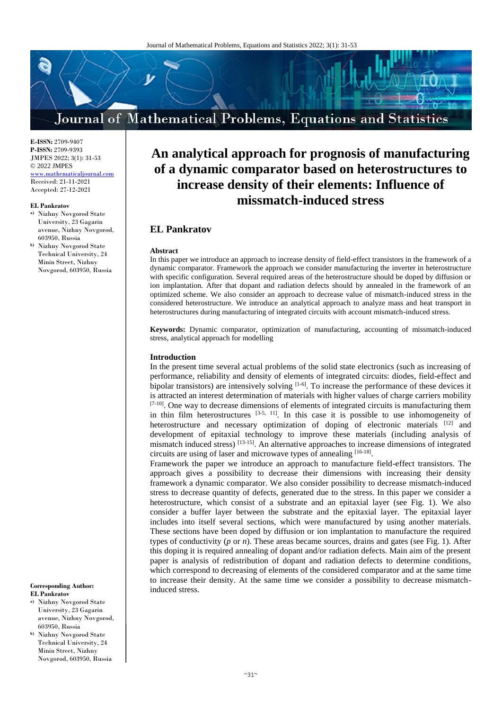# Journal of Mathematical Problems, Equations and Statistics

**E-ISSN:** 2709-9407 **P-ISSN:** 2709-9393 JMPES 2022; 3(1): 31-53 © 2022 JMPES <www.mathematicaljournal.com> Received: 21-11-2021 Accepted: 27-12-2021

#### **EL Pankratov**

- **a)** Nizhny Novgorod State University, 23 Gagarin avenue, Nizhny Novgorod, 603950, Russia
- **b)** Nizhny Novgorod State Technical University, 24 Minin Street, Nizhny Novgorod, 603950, Russia

**Corresponding Author: EL Pankratov**

- **a)** Nizhny Novgorod State University, 23 Gagarin avenue, Nizhny Novgorod, 603950, Russia
- **b)** Nizhny Novgorod State Technical University, 24 Minin Street, Nizhny Novgorod, 603950, Russia

# **An analytical approach for prognosis of manufacturing of a dynamic comparator based on heterostructures to increase density of their elements: Influence of missmatch-induced stress**

# **EL Pankratov**

#### **Abstract**

In this paper we introduce an approach to increase density of field-effect transistors in the framework of a dynamic comparator. Framework the approach we consider manufacturing the inverter in heterostructure with specific configuration. Several required areas of the heterostructure should be doped by diffusion or ion implantation. After that dopant and radiation defects should by annealed in the framework of an optimized scheme. We also consider an approach to decrease value of mismatch-induced stress in the considered heterostructure. We introduce an analytical approach to analyze mass and heat transport in heterostructures during manufacturing of integrated circuits with account mismatch-induced stress.

**Keywords:** Dynamic comparator, optimization of manufacturing, accounting of missmatch-induced stress, analytical approach for modelling

#### **Introduction**

In the present time several actual problems of the solid state electronics (such as increasing of performance, reliability and density of elements of integrated circuits: diodes, field-effect and bipolar transistors) are intensively solving <sup>[1-6]</sup>. To increase the performance of these devices it is attracted an interest determination of materials with higher values of charge carriers mobility [7-10]. One way to decrease dimensions of elements of integrated circuits is manufacturing them in thin film heterostructures [3-5, 11]. In this case it is possible to use inhomogeneity of heterostructure and necessary optimization of doping of electronic materials  $[12]$  and development of epitaxial technology to improve these materials (including analysis of mismatch induced stress) [13-15]. An alternative approaches to increase dimensions of integrated circuits are using of laser and microwave types of annealing [16-18].

Framework the paper we introduce an approach to manufacture field-effect transistors. The approach gives a possibility to decrease their dimensions with increasing their density framework a dynamic comparator. We also consider possibility to decrease mismatch-induced stress to decrease quantity of defects, generated due to the stress. In this paper we consider a heterostructure, which consist of a substrate and an epitaxial layer (see Fig. 1). We also consider a buffer layer between the substrate and the epitaxial layer. The epitaxial layer includes into itself several sections, which were manufactured by using another materials. These sections have been doped by diffusion or ion implantation to manufacture the required types of conductivity (*p* or *n*). These areas became sources, drains and gates (see Fig. 1). After this doping it is required annealing of dopant and/or radiation defects. Main aim of the present paper is analysis of redistribution of dopant and radiation defects to determine conditions, which correspond to decreasing of elements of the considered comparator and at the same time to increase their density. At the same time we consider a possibility to decrease mismatchinduced stress.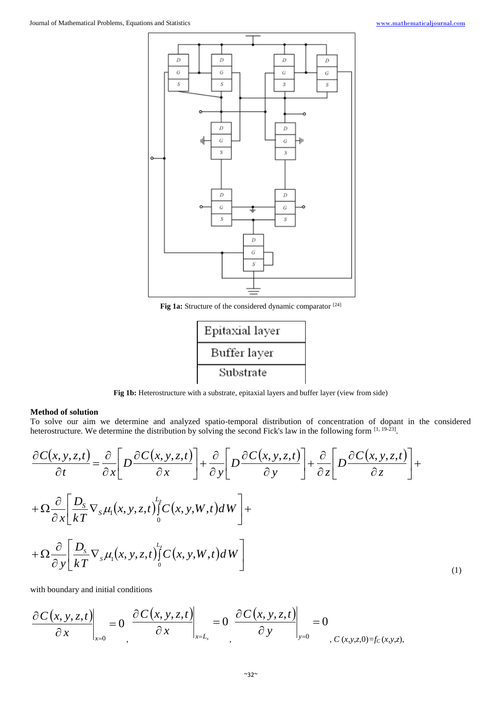

**Fig 1a:** Structure of the considered dynamic comparator [24]



**Fig 1b:** Heterostructure with a substrate, epitaxial layers and buffer layer (view from side)

## **Method of solution**

To solve our aim we determine and analyzed spatio-temporal distribution of concentration of dopant in the considered heterostructure. We determine the distribution by solving the second Fick's law in the following form [1, 19-23].

$$
\frac{\partial C(x, y, z, t)}{\partial t} = \frac{\partial}{\partial x} \left[ D \frac{\partial C(x, y, z, t)}{\partial x} \right] + \frac{\partial}{\partial y} \left[ D \frac{\partial C(x, y, z, t)}{\partial y} \right] + \frac{\partial}{\partial z} \left[ D \frac{\partial C(x, y, z, t)}{\partial z} \right] +
$$
  
+ 
$$
\Omega \frac{\partial}{\partial x} \left[ \frac{D_s}{kT} \nabla_s \mu_1(x, y, z, t) \right] \left[ C(x, y, W, t) dW \right] +
$$
  
+ 
$$
\Omega \frac{\partial}{\partial y} \left[ \frac{D_s}{kT} \nabla_s \mu_1(x, y, z, t) \right] \left[ C(x, y, W, t) dW \right]
$$
  
(1)

with boundary and initial conditions

$$
\left.\frac{\partial C(x,y,z,t)}{\partial x}\right|_{x=0} = 0 \left.\frac{\partial C(x,y,z,t)}{\partial x}\right|_{x=L_x} = 0 \left.\frac{\partial C(x,y,z,t)}{\partial y}\right|_{y=0} = 0
$$
\nC(x,y,z,0)=fc(x,y,z),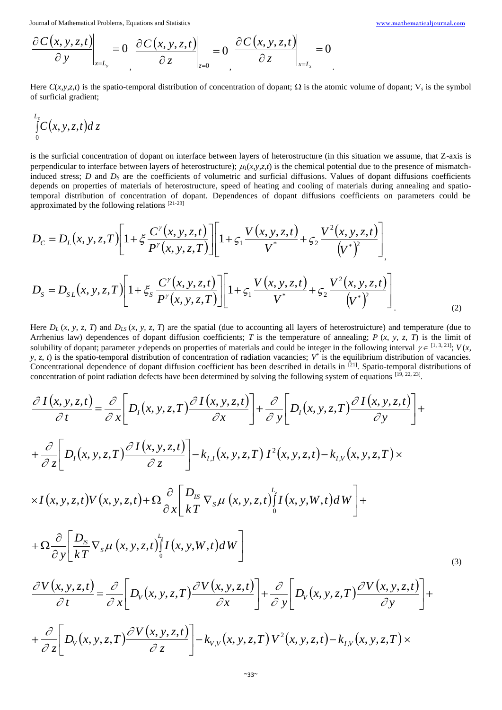$$
\left.\frac{\partial C(x,y,z,t)}{\partial y}\right|_{x=L_y} = 0 \left.\frac{\partial C(x,y,z,t)}{\partial z}\right|_{z=0} = 0 \left.\frac{\partial C(x,y,z,t)}{\partial z}\right|_{x=L_z} = 0
$$

Here  $C(x, y, z, t)$  is the spatio-temporal distribution of concentration of dopant;  $\Omega$  is the atomic volume of dopant;  $\nabla_s$  is the symbol of surficial gradient;

$$
\int\limits_{0}^{L_{\bar{z}}}C(x,y,z,t)dz
$$

is the surficial concentration of dopant on interface between layers of heterostructure (in this situation we assume, that Z-axis is perpendicular to interface between layers of heterostructure);  $\mu_1(x, y, z, t)$  is the chemical potential due to the presence of mismatchinduced stress; *D* and *D<sup>S</sup>* are the coefficients of volumetric and surficial diffusions. Values of dopant diffusions coefficients depends on properties of materials of heterostructure, speed of heating and cooling of materials during annealing and spatiotemporal distribution of concentration of dopant. Dependences of dopant diffusions coefficients on parameters could be approximated by the following relations [21-23]

$$
D_{c} = D_{L}(x, y, z, T) \left[ 1 + \xi \frac{C^{y}(x, y, z, t)}{P^{y}(x, y, z, T)} \right] \left[ 1 + \zeta_{1} \frac{V(x, y, z, t)}{V^{*}} + \zeta_{2} \frac{V^{2}(x, y, z, t)}{(V^{*})^{2}} \right]
$$
  

$$
D_{S} = D_{SL}(x, y, z, T) \left[ 1 + \xi_{S} \frac{C^{y}(x, y, z, t)}{P^{y}(x, y, z, T)} \right] \left[ 1 + \zeta_{1} \frac{V(x, y, z, t)}{V^{*}} + \zeta_{2} \frac{V^{2}(x, y, z, t)}{(V^{*})^{2}} \right]
$$
 (2)

Here  $D_L(x, y, z, T)$  and  $D_{LS}(x, y, z, T)$  are the spatial (due to accounting all layers of heterostruicture) and temperature (due to Arrhenius law) dependences of dopant diffusion coefficients; *T* is the temperature of annealing; *P* (*x*, *y*, *z*, *T*) is the limit of solubility of dopant; parameter  $\gamma$  depends on properties of materials and could be integer in the following interval  $\gamma \in [1, 3, 21]$ ;  $V(x, \gamma)$  $y, z, t$  is the spatio-temporal distribution of concentration of radiation vacancies;  $V^*$  is the equilibrium distribution of vacancies. Concentrational dependence of dopant diffusion coefficient has been described in details in  $[21]$ . Spatio-temporal distributions of concentration of point radiation defects have been determined by solving the following system of equations  $^{[19, 22, 23]}$ .

$$
\frac{\partial I(x, y, z, t)}{\partial t} = \frac{\partial}{\partial x} \Bigg[ D_{t}(x, y, z, T) \frac{\partial I(x, y, z, t)}{\partial x} \Bigg] + \frac{\partial}{\partial y} \Bigg[ D_{t}(x, y, z, T) \frac{\partial I(x, y, z, t)}{\partial y} \Bigg] + \n+ \frac{\partial}{\partial z} \Bigg[ D_{t}(x, y, z, T) \frac{\partial I(x, y, z, t)}{\partial z} \Bigg] - k_{t, t}(x, y, z, T) I^{2}(x, y, z, t) - k_{t, v}(x, y, z, T) \times \times I(x, y, z, t) V(x, y, z, t) + \Omega \frac{\partial}{\partial x} \Bigg[ \frac{D_{ts}}{kT} \nabla_{s} \mu (x, y, z, t) \Bigg] I(x, y, W, t) dW \Bigg] + \n+ \Omega \frac{\partial}{\partial y} \Bigg[ \frac{D_{s}}{kT} \nabla_{s} \mu (x, y, z, t) \Bigg] I(x, y, W, t) dW \Bigg] \n+ \frac{\partial V(x, y, z, t)}{\partial t} = \frac{\partial}{\partial x} \Bigg[ D_{v}(x, y, z, T) \frac{\partial V(x, y, z, t)}{\partial x} \Bigg] + \frac{\partial}{\partial y} \Bigg[ D_{v}(x, y, z, T) \frac{\partial V(x, y, z, t)}{\partial y} \Bigg] + \n+ \frac{\partial}{\partial z} \Bigg[ D_{v}(x, y, z, T) \frac{\partial V(x, y, z, t)}{\partial z} \Bigg] - k_{v, v}(x, y, z, T) V^{2}(x, y, z, t) - k_{t, v}(x, y, z, T) \times
$$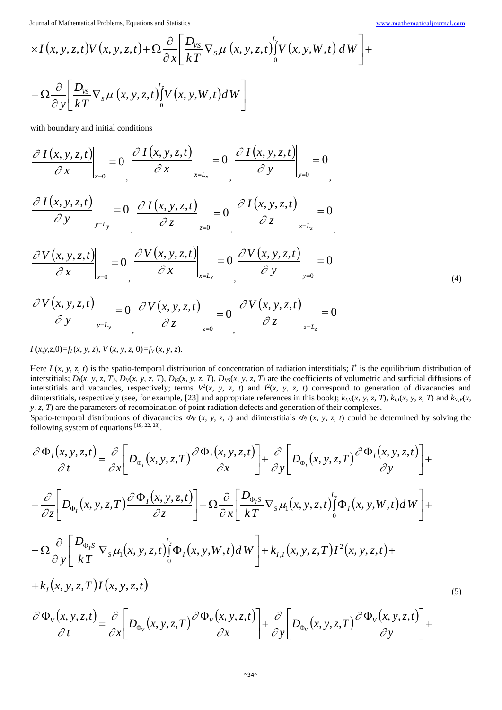(4)

$$
\times I(x, y, z, t) V(x, y, z, t) + \Omega \frac{\partial}{\partial x} \left[ \frac{D_{vs}}{kT} \nabla_s \mu(x, y, z, t) \int_0^L V(x, y, W, t) dW \right] +
$$
  
+ 
$$
\Omega \frac{\partial}{\partial y} \left[ \frac{D_{vs}}{kT} \nabla_s \mu(x, y, z, t) \int_0^L V(x, y, W, t) dW \right]
$$

with boundary and initial conditions

$$
\left.\frac{\partial I(x,y,z,t)}{\partial x}\right|_{x=0} = 0 \left.\frac{\partial I(x,y,z,t)}{\partial x}\right|_{x=L_x} = 0 \left.\frac{\partial I(x,y,z,t)}{\partial y}\right|_{y=0} = 0
$$

$$
\left.\frac{\partial I(x,y,z,t)}{\partial y}\right|_{y=L_y}=0\left.\frac{\partial I(x,y,z,t)}{\partial z}\right|_{z=0}=0\left.\frac{\partial I(x,y,z,t)}{\partial z}\right|_{z=L_z}=0
$$

$$
\left. \frac{\partial V(x, y, z, t)}{\partial x} \right|_{x=0} = 0 \left. \frac{\partial V(x, y, z, t)}{\partial x} \right|_{x=L_x} = 0 \left. \frac{\partial V(x, y, z, t)}{\partial y} \right|_{y=0} = 0
$$

$$
\left.\frac{\partial V(x,y,z,t)}{\partial y}\right|_{y=L_y} = 0 \left.\frac{\partial V(x,y,z,t)}{\partial z}\right|_{z=0} = 0 \left.\frac{\partial V(x,y,z,t)}{\partial z}\right|_{z=L_z} = 0
$$

 $I(x, y, z, 0) = f(x, y, z)$ ,  $V(x, y, z, 0) = f(y(x, y, z).$ 

Here  $I(x, y, z, t)$  is the spatio-temporal distribution of concentration of radiation interstitials;  $I^*$  is the equilibrium distribution of interstitials;  $D_1(x, y, z, T)$ ,  $D_v(x, y, z, T)$ ,  $D_{IS}(x, y, z, T)$ ,  $D_{VS}(x, y, z, T)$  are the coefficients of volumetric and surficial diffusions of interstitials and vacancies, respectively; terms  $V^2(x, y, z, t)$  and  $I^2(x, y, z, t)$  correspond to generation of divacancies and diinterstitials, respectively (see, for example, [23] and appropriate references in this book);  $k_l v(x, y, z, T)$ ,  $k_l v(x, y, z, T)$  and  $k_l v(x, y, z, T)$ *y*, *z*, *T*) are the parameters of recombination of point radiation defects and generation of their complexes.

Spatio-temporal distributions of divacancies  $\Phi_V(x, y, z, t)$  and diinterstitials  $\Phi_I(x, y, z, t)$  could be determined by solving the following system of equations  $[19, 22, 23]$ .

$$
\frac{\partial \Phi_{I}(x, y, z, t)}{\partial t} = \frac{\partial}{\partial x} \Bigg[ D_{\Phi_{I}}(x, y, z, T) \frac{\partial \Phi_{I}(x, y, z, t)}{\partial x} \Bigg] + \frac{\partial}{\partial y} \Bigg[ D_{\Phi_{I}}(x, y, z, T) \frac{\partial \Phi_{I}(x, y, z, t)}{\partial y} \Bigg] + \n+ \frac{\partial}{\partial z} \Bigg[ D_{\Phi_{I}}(x, y, z, T) \frac{\partial \Phi_{I}(x, y, z, t)}{\partial z} \Bigg] + \Omega \frac{\partial}{\partial x} \Bigg[ \frac{D_{\Phi_{I}S}}{kT} \nabla_{S} \mu_{I}(x, y, z, t) \Bigg] \Phi_{I}(x, y, W, t) dW \Bigg] + \n+ \Omega \frac{\partial}{\partial y} \Bigg[ \frac{D_{\Phi_{I}S}}{kT} \nabla_{S} \mu_{I}(x, y, z, t) \Bigg] \Phi_{I}(x, y, W, t) dW \Bigg] + k_{I,I}(x, y, z, T) I^{2}(x, y, z, t) + \n+ k_{I}(x, y, z, T) I(x, y, z, t) \n+ k_{I}(x, y, z, T) I(x, y, z, t)
$$
\n(5)\n
$$
\frac{\partial \Phi_{V}(x, y, z, t)}{\partial t} = \frac{\partial}{\partial x} \Bigg[ D_{\Phi_{V}}(x, y, z, T) \frac{\partial \Phi_{V}(x, y, z, t)}{\partial x} \Bigg] + \frac{\partial}{\partial y} \Bigg[ D_{\Phi_{V}}(x, y, z, T) \frac{\partial \Phi_{V}(x, y, z, t)}{\partial y} \Bigg] +
$$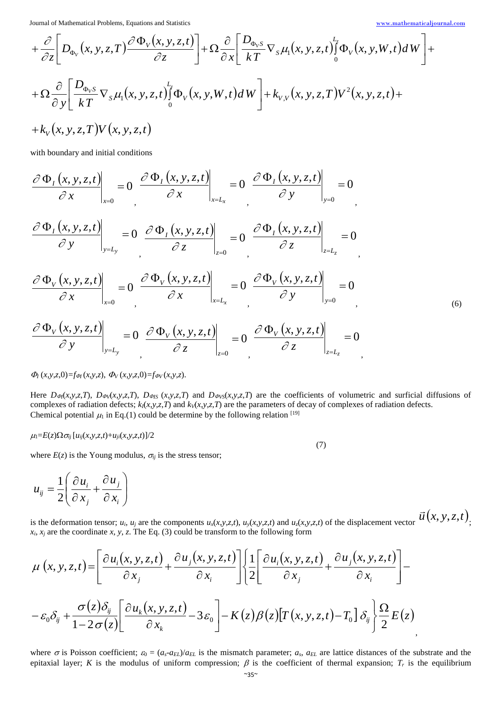$$
+ \frac{\partial}{\partial z} \Bigg[ D_{\Phi_V}(x, y, z, T) \frac{\partial \Phi_V(x, y, z, t)}{\partial z} \Bigg] + \Omega \frac{\partial}{\partial x} \Bigg[ \frac{D_{\Phi_V S}}{kT} \nabla_s \mu_1(x, y, z, t) \Bigg] \Phi_V(x, y, W, t) dW \Bigg] +
$$
  
+ 
$$
\Omega \frac{\partial}{\partial y} \Bigg[ \frac{D_{\Phi_V S}}{kT} \nabla_s \mu_1(x, y, z, t) \Bigg] \Phi_V(x, y, W, t) dW \Bigg] + k_{V, V}(x, y, z, T) V^2(x, y, z, t) +
$$
  
+ 
$$
k_V(x, y, z, T) V(x, y, z, t)
$$

with boundary and initial conditions

$$
\frac{\partial \Phi_{I}(x, y, z, t)}{\partial x}\Big|_{x=0} = 0 \left. \frac{\partial \Phi_{I}(x, y, z, t)}{\partial x}\right|_{x=L_{x}} = 0 \left. \frac{\partial \Phi_{I}(x, y, z, t)}{\partial y}\right|_{y=0} = 0
$$
\n
$$
\frac{\partial \Phi_{I}(x, y, z, t)}{\partial y}\Big|_{y=L_{y}} = 0 \left. \frac{\partial \Phi_{I}(x, y, z, t)}{\partial z}\right|_{z=0} = 0 \left. \frac{\partial \Phi_{I}(x, y, z, t)}{\partial z}\right|_{z=L_{z}} = 0
$$
\n
$$
\frac{\partial \Phi_{V}(x, y, z, t)}{\partial x}\Big|_{x=0} = 0 \left. \frac{\partial \Phi_{V}(x, y, z, t)}{\partial x}\right|_{x=L_{x}} = 0 \left. \frac{\partial \Phi_{V}(x, y, z, t)}{\partial y}\right|_{y=0} = 0
$$
\n
$$
\frac{\partial \Phi_{V}(x, y, z, t)}{\partial y}\Big|_{y=0} = 0 \qquad (6)
$$

$$
\left.\frac{\partial \Phi_{\nu}(x, y, z, t)}{\partial y}\right|_{y=L_{y}} = 0 \left.\frac{\partial \Phi_{\nu}(x, y, z, t)}{\partial z}\right|_{z=0} = 0 \left.\frac{\partial \Phi_{\nu}(x, y, z, t)}{\partial z}\right|_{z=L_{z}} = 0
$$

## $\Phi_I(x, y, z, 0) = f_{\Phi I}(x, y, z), \ \Phi_V(x, y, z, 0) = f_{\Phi V}(x, y, z).$

Here  $D_{\varphi}(x,y,z,T)$ ,  $D_{\varphi(x,y,z,T)}$ ,  $D_{\varphi(s)}(x,y,z,T)$  and  $D_{\varphi(s)}(x,y,z,T)$  are the coefficients of volumetric and surficial diffusions of complexes of radiation defects; *kI*(*x*,*y*,*z*,*T*) and *kV*(*x*,*y*,*z*,*T*) are the parameters of decay of complexes of radiation defects. Chemical potential  $\mu_1$  in Eq.(1) could be determine by the following relation [19]

(7)

#### $\mu_1 = E(z) \Omega \sigma_{ij} [u_{ij}(x, y, z, t) + u_{ji}(x, y, z, t)]/2$

where  $E(z)$  is the Young modulus,  $\sigma_{ij}$  is the stress tensor;

$$
u_{ij} = \frac{1}{2} \left( \frac{\partial u_i}{\partial x_j} + \frac{\partial u_j}{\partial x_i} \right)
$$

is the deformation tensor;  $u_i$ ,  $u_j$  are the components  $u_x(x,y,z,t)$ ,  $u_y(x,y,z,t)$  and  $u_z(x,y,z,t)$  of the displacement vector  $\vec{u}(x, y, z, t)$ ;  $x_i$ ,  $x_j$  are the coordinate *x*, *y*, *z*. The Eq. (3) could be transform to the following form

$$
\mu(x, y, z, t) = \left[ \frac{\partial u_i(x, y, z, t)}{\partial x_j} + \frac{\partial u_j(x, y, z, t)}{\partial x_i} \right] \left\{ \frac{1}{2} \left[ \frac{\partial u_i(x, y, z, t)}{\partial x_j} + \frac{\partial u_j(x, y, z, t)}{\partial x_i} \right] - \frac{\partial u_j(x, y, z, t)}{\partial x_i} \right\} - \frac{\sigma(z) \delta_{ij}}{1 - 2\sigma(z)} \left[ \frac{\partial u_k(x, y, z, t)}{\partial x_k} - 3\varepsilon_0 \right] - K(z) \beta(z) \left[ T(x, y, z, t) - T_0 \right] \delta_{ij} \left\{ \frac{\Omega}{2} E(z) \right\}
$$

where  $\sigma$  is Poisson coefficient;  $\varepsilon_0 = (a_s - a_{EL})/a_{EL}$  is the mismatch parameter;  $a_s$ ,  $a_{EL}$  are lattice distances of the substrate and the epitaxial layer; *K* is the modulus of uniform compression;  $\beta$  is the coefficient of thermal expansion;  $T_r$  is the equilibrium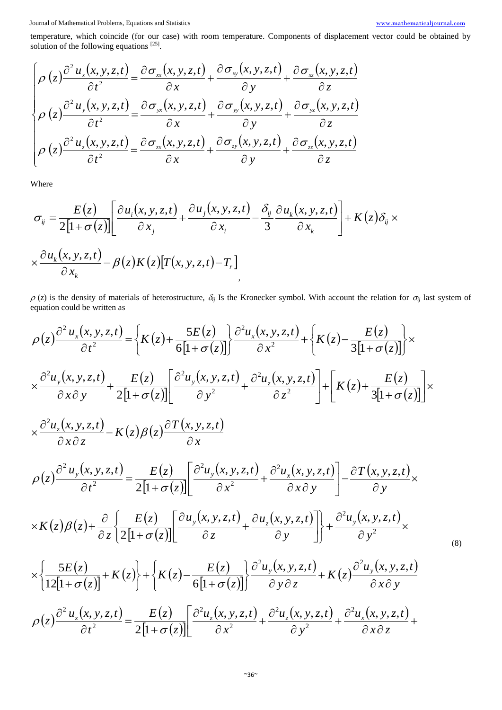(8)

temperature, which coincide (for our case) with room temperature. Components of displacement vector could be obtained by solution of the following equations  $^{[25]}$ .

$$
\begin{cases}\n\rho(z)\frac{\partial^2 u_x(x,y,z,t)}{\partial t^2} = \frac{\partial \sigma_{xx}(x,y,z,t)}{\partial x} + \frac{\partial \sigma_{xy}(x,y,z,t)}{\partial y} + \frac{\partial \sigma_{xz}(x,y,z,t)}{\partial z} \\
\rho(z)\frac{\partial^2 u_y(x,y,z,t)}{\partial t^2} = \frac{\partial \sigma_{yx}(x,y,z,t)}{\partial x} + \frac{\partial \sigma_{yy}(x,y,z,t)}{\partial y} + \frac{\partial \sigma_{yx}(x,y,z,t)}{\partial z} \\
\rho(z)\frac{\partial^2 u_z(x,y,z,t)}{\partial t^2} = \frac{\partial \sigma_{zx}(x,y,z,t)}{\partial x} + \frac{\partial \sigma_{xy}(x,y,z,t)}{\partial y} + \frac{\partial \sigma_{zz}(x,y,z,t)}{\partial z}\n\end{cases}
$$

Where

$$
\sigma_{ij} = \frac{E(z)}{2[1+\sigma(z)]} \left[ \frac{\partial u_i(x, y, z, t)}{\partial x_j} + \frac{\partial u_j(x, y, z, t)}{\partial x_i} - \frac{\delta_{ij}}{3} \frac{\partial u_k(x, y, z, t)}{\partial x_k} \right] + K(z) \delta_{ij} \times \frac{\partial u_k(x, y, z, t)}{\partial x_k} - \beta(z) K(z) [T(x, y, z, t) - T_r]
$$

 $\rho$  (*z*) is the density of materials of heterostructure,  $\delta_{ij}$  Is the Kronecker symbol. With account the relation for  $\sigma_{ij}$  last system of equation could be written as

$$
\rho(z)\frac{\partial^2 u_x(x, y, z, t)}{\partial t^2} = \left\{K(z) + \frac{5E(z)}{6[1+\sigma(z)]}\right\} \frac{\partial^2 u_x(x, y, z, t)}{\partial x^2} + \left\{K(z) - \frac{E(z)}{3[1+\sigma(z)]}\right\} \times
$$
\n
$$
\times \frac{\partial^2 u_y(x, y, z, t)}{\partial x \partial y} + \frac{E(z)}{2[1+\sigma(z)]} \left[\frac{\partial^2 u_y(x, y, z, t)}{\partial y^2} + \frac{\partial^2 u_z(x, y, z, t)}{\partial z^2}\right] + \left[K(z) + \frac{E(z)}{3[1+\sigma(z)]}\right] \times
$$
\n
$$
\times \frac{\partial^2 u_z(x, y, z, t)}{\partial x \partial z} - K(z) \beta(z) \frac{\partial T(x, y, z, t)}{\partial x}
$$
\n
$$
\rho(z)\frac{\partial^2 u_y(x, y, z, t)}{\partial t^2} = \frac{E(z)}{2[1+\sigma(z)]} \left[\frac{\partial^2 u_y(x, y, z, t)}{\partial x^2} + \frac{\partial^2 u_x(x, y, z, t)}{\partial x \partial y}\right] - \frac{\partial T(x, y, z, t)}{\partial y} \times
$$
\n
$$
\times K(z) \beta(z) + \frac{\partial}{\partial z} \left\{\frac{E(z)}{2[1+\sigma(z)]} \left[\frac{\partial u_y(x, y, z, t)}{\partial z} + \frac{\partial u_z(x, y, z, t)}{\partial y}\right]\right\} + \frac{\partial^2 u_y(x, y, z, t)}{\partial y^2} \times
$$
\n
$$
\times \left\{\frac{5E(z)}{12[1+\sigma(z)]} + K(z)\right\} + \left\{K(z) - \frac{E(z)}{6[1+\sigma(z)]}\right\} \frac{\partial^2 u_y(x, y, z, t)}{\partial y \partial z} + K(z) \frac{\partial^2 u_y(x, y, z, t)}{\partial x \partial y}
$$
\n
$$
\rho(z)\frac{\partial^2 u_z(x, y, z, t)}{\partial t^2} = \frac{E(z)}{2[1+\sigma(z)]} \left[\frac{\partial^2 u_z(x, y, z, t)}{\partial x^2} + \frac{\partial^2 u_z(x, y, z, t)}{\partial y^2} + \frac{\partial^2 u_x(x, y, z, t)}{\partial x \partial z} + \frac
$$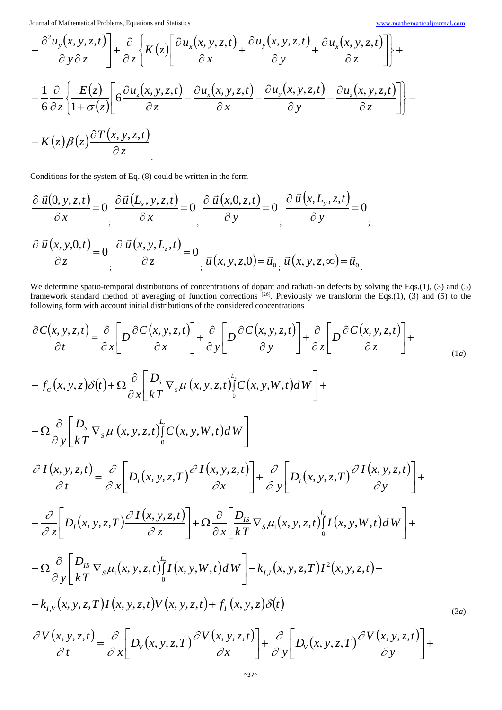$$
+\frac{\partial^2 u_y(x, y, z, t)}{\partial y \partial z}\Bigg] + \frac{\partial}{\partial z} \Bigg\{ K(z) \Bigg[ \frac{\partial u_x(x, y, z, t)}{\partial x} + \frac{\partial u_y(x, y, z, t)}{\partial y} + \frac{\partial u_x(x, y, z, t)}{\partial z} \Bigg] \Bigg\} +
$$
  
+ 
$$
\frac{1}{6} \frac{\partial}{\partial z} \Bigg\{ \frac{E(z)}{1 + \sigma(z)} \Bigg[ 6 \frac{\partial u_z(x, y, z, t)}{\partial z} - \frac{\partial u_x(x, y, z, t)}{\partial x} - \frac{\partial u_y(x, y, z, t)}{\partial y} - \frac{\partial u_z(x, y, z, t)}{\partial z} \Bigg] \Bigg\} - K(z) \beta(z) \frac{\partial T(x, y, z, t)}{\partial z}
$$

Conditions for the system of Eq. (8) could be written in the form

$$
\frac{\partial \vec{u}(0, y, z, t)}{\partial x} = 0 \frac{\partial \vec{u}(L_x, y, z, t)}{\partial x} = 0 \frac{\partial \vec{u}(x, 0, z, t)}{\partial y} = 0 \frac{\partial \vec{u}(x, L_y, z, t)}{\partial y} = 0
$$
\n
$$
\frac{\partial \vec{u}(x, y, 0, t)}{\partial z} = 0 \frac{\partial \vec{u}(x, y, L_z, t)}{\partial z} = 0
$$
\n
$$
\vec{u}(x, y, z, 0) = \vec{u}_{0x} \vec{u}(x, y, z, \infty) = \vec{u}_{0y}
$$

We determine spatio-temporal distributions of concentrations of dopant and radiati-on defects by solving the Eqs.(1), (3) and (5) framework standard method of averaging of function corrections  $[26]$ . Previously we transform the Eqs.(1), (3) and (5) to the following form with account initial distributions of the considered concentrations

$$
\frac{\partial C(x, y, z, t)}{\partial t} = \frac{\partial}{\partial x} \Big[ D \frac{\partial C(x, y, z, t)}{\partial x} \Big] + \frac{\partial}{\partial y} \Big[ D \frac{\partial C(x, y, z, t)}{\partial y} \Big] + \frac{\partial}{\partial z} \Big[ D \frac{\partial C(x, y, z, t)}{\partial z} \Big] +
$$
\n
$$
+ f_c(x, y, z) \delta(t) + \Omega \frac{\partial}{\partial x} \Big[ \frac{D_s}{kT} \nabla_s \mu(x, y, z, t) \Big[ C(x, y, W, t) dW \Big] +
$$
\n
$$
+ \Omega \frac{\partial}{\partial y} \Big[ \frac{D_s}{kT} \nabla_s \mu(x, y, z, t) \Big[ C(x, y, W, t) dW \Big] +
$$
\n
$$
\frac{\partial I(x, y, z, t)}{\partial t} = \frac{\partial}{\partial x} \Big[ D_t(x, y, z, T) \frac{\partial I(x, y, z, t)}{\partial x} \Big] + \frac{\partial}{\partial y} \Big[ D_t(x, y, z, T) \frac{\partial I(x, y, z, t)}{\partial y} \Big] +
$$
\n
$$
+ \frac{\partial}{\partial z} \Big[ D_t(x, y, z, T) \frac{\partial I(x, y, z, t)}{\partial z} \Big] + \Omega \frac{\partial}{\partial x} \Big[ \frac{D_{IS}}{kT} \nabla_s \mu_t(x, y, z, t) \Big[ I(x, y, W, t) dW \Big] +
$$
\n
$$
+ \Omega \frac{\partial}{\partial y} \Big[ \frac{D_{IS}}{kT} \nabla_s \mu_t(x, y, z, t) \Big] I(x, y, W, t) dW \Big] - k_{IJ}(x, y, z, T) I^2(x, y, z, t) -
$$
\n
$$
- k_{IJ}(x, y, z, T) I(x, y, z, t) V(x, y, z, t) + f_I(x, y, z) \delta(t)
$$
\n
$$
\frac{\partial V(x, y, z, t)}{\partial t} = \frac{\partial}{\partial x} \Big[ D_v(x, y, z, T) \frac{\partial V(x, y, z, t)}{\partial x} \Big] + \frac{\partial}{\partial y} \Big[ D_v(x, y, z, T) \frac{\partial V(x, y, z, t)}{\partial y} \Big] +
$$
\n(3a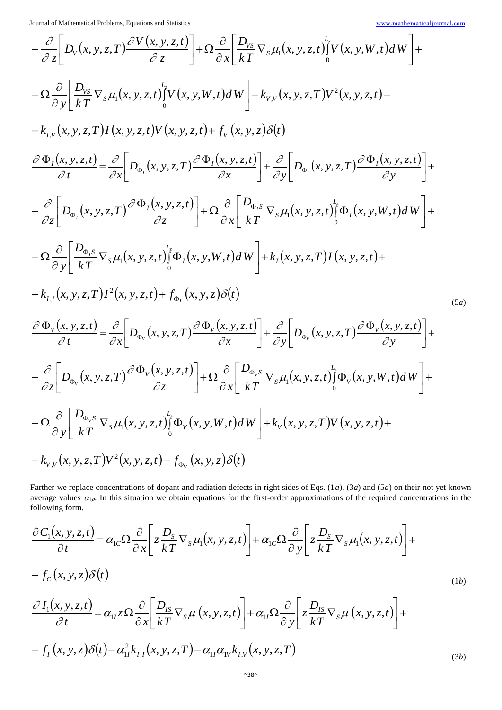Journal of Mathematical Problems, Equations and Statistics

$$
\underline{\bf www.mathematical journal.com}
$$

$$
+\frac{\partial}{\partial z}\left[D_{v}(x,y,z,T)\frac{\partial V(x,y,z,t)}{\partial z}\right] + \Omega \frac{\partial}{\partial x}\left[\frac{D_{vs}}{kT}\nabla_{s}\mu_{1}(x,y,z,t)\int_{0}^{t}V(x,y,W,t)dW\right] +\n+\Omega \frac{\partial}{\partial y}\left[\frac{D_{vs}}{kT}\nabla_{s}\mu_{1}(x,y,z,t)\int_{0}^{t}V(x,y,W,t)dW\right] - k_{v,v}(x,y,z,T)V^{2}(x,y,z,t)-\n-k_{t,v}(x,y,z,T)I(x,y,z,t)V(x,y,z,t) + f_{v}(x,y,z)\delta(t)\n\frac{\partial \Phi_{t}(x,y,z,t)}{\partial t} = \frac{\partial}{\partial x}\left[D_{\Phi_{0}}(x,y,z,T)\frac{\partial \Phi_{t}(x,y,z,t)}{\partial x}\right] + \frac{\partial}{\partial y}\left[D_{\Phi_{0}}(x,y,z,T)\frac{\partial \Phi_{t}(x,y,z,t)}{\partial y}\right] +\n+\frac{\partial}{\partial z}\left[D_{\Phi_{0}}(x,y,z,T)\frac{\partial \Phi_{t}(x,y,z,t)}{\partial z}\right] + \Omega \frac{\partial}{\partial x}\left[\frac{D_{\Phi_{0}}s}{kT}\nabla_{s}\mu_{1}(x,y,z,t)\int_{0}^{t} \Phi_{t}(x,y,W,t)dW\right] +\n+\Omega \frac{\partial}{\partial y}\left[\frac{D_{\Phi_{0}}s}{kT}\nabla_{s}\mu_{1}(x,y,z,t)\int_{0}^{t} \Phi_{t}(x,y,W,t)dW\right] + k_{t}(x,y,z,T)I(x,y,z,t)+\n+k_{t,t}(x,y,z,T)I^{2}(x,y,z,t) + f_{\Phi_{t}}(x,y,z)\delta(t)\n\frac{\partial \Phi_{v}(x,y,z,t)}{\partial t} = \frac{\partial}{\partial x}\left[D_{\Phi_{v}}(x,y,z,T)\frac{\partial \Phi_{v}(x,y,z,t)}{\partial x}\right] + \frac{\partial}{\partial y}\left[D_{\Phi_{v}}(x,y,z,T)\frac{\partial \Phi_{v}(x,y,z,t)}{\partial y}\right] +\n+\frac{\partial}{\partial z}\left[D_{\Phi_{v}}(x,y,z,T)\frac{\partial \Phi_{v}(x,y,z,t)}{\partial z}\right] + \Omega \frac{\partial}{\partial x}\left[\frac{D_{\Phi_{0}}s}{kT}\nabla_{s}\mu_{1}(x,y,z,t)\int_{0}^{t} \Phi_{v}(x,y,W
$$

Farther we replace concentrations of dopant and radiation defects in right sides of Eqs. (1*a*), (3*a*) and (5*a*) on their not yet known average values  $\alpha_{1\rho}$ . In this situation we obtain equations for the first-order approximations of the required concentrations in the following form.

$$
\frac{\partial C_1(x, y, z, t)}{\partial t} = \alpha_{1c} \Omega \frac{\partial}{\partial x} \left[ z \frac{D_s}{kT} \nabla_s \mu_1(x, y, z, t) \right] + \alpha_{1c} \Omega \frac{\partial}{\partial y} \left[ z \frac{D_s}{kT} \nabla_s \mu_1(x, y, z, t) \right] ++ f_c(x, y, z) \delta(t) \n\frac{\partial I_1(x, y, z, t)}{\partial t} = \alpha_{1l} z \Omega \frac{\partial}{\partial x} \left[ \frac{D_{IS}}{kT} \nabla_s \mu(x, y, z, t) \right] + \alpha_{1l} \Omega \frac{\partial}{\partial y} \left[ z \frac{D_{IS}}{kT} \nabla_s \mu(x, y, z, t) \right] ++ f_l(x, y, z) \delta(t) - \alpha_{1l}^2 k_{I,l}(x, y, z, T) - \alpha_{1l} \alpha_{1l} k_{I,l}(x, y, z, T)
$$
\n(3b)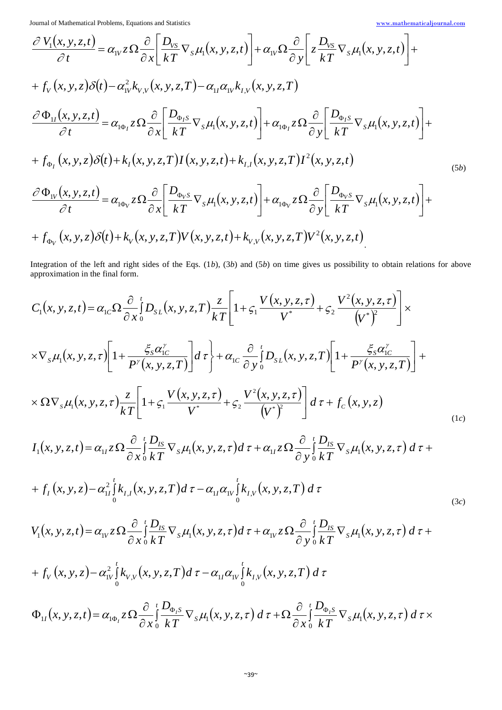$$
\frac{\partial V_{1}(x, y, z, t)}{\partial t} = \alpha_{1V} z \Omega \frac{\partial}{\partial x} \left[ \frac{D_{VS}}{kT} \nabla_{s} \mu_{1}(x, y, z, t) \right] + \alpha_{1V} \Omega \frac{\partial}{\partial y} \left[ z \frac{D_{VS}}{kT} \nabla_{s} \mu_{1}(x, y, z, t) \right] ++ f_{V}(x, y, z) \delta(t) - \alpha_{1V}^{2} k_{V,V}(x, y, z, T) - \alpha_{1I} \alpha_{1V} k_{I,V}(x, y, z, T)\n\frac{\partial \Phi_{1I}(x, y, z, t)}{\partial t} = \alpha_{1\Phi_{I}} z \Omega \frac{\partial}{\partial x} \left[ \frac{D_{\Phi_{I}s}}{kT} \nabla_{s} \mu_{1}(x, y, z, t) \right] + \alpha_{1\Phi_{I}} z \Omega \frac{\partial}{\partial y} \left[ \frac{D_{\Phi_{I}s}}{kT} \nabla_{s} \mu_{1}(x, y, z, t) \right] ++ f_{\Phi_{I}}(x, y, z) \delta(t) + k_{I}(x, y, z, T) I(x, y, z, t) + k_{I,I}(x, y, z, T) I^{2}(x, y, z, t)\n\frac{\partial \Phi_{1V}(x, y, z, t)}{\partial t} = \alpha_{1\Phi_{V}} z \Omega \frac{\partial}{\partial x} \left[ \frac{D_{\Phi_{V}s}}{kT} \nabla_{s} \mu_{1}(x, y, z, t) \right] + \alpha_{1\Phi_{V}} z \Omega \frac{\partial}{\partial y} \left[ \frac{D_{\Phi_{V}s}}{kT} \nabla_{s} \mu_{1}(x, y, z, t) \right] ++ f_{\Phi_{V}}(x, y, z) \delta(t) + k_{V}(x, y, z, T) V(x, y, z, t) + k_{V,V}(x, y, z, T) V^{2}(x, y, z, t)
$$
\n(5b)

Integration of the left and right sides of the Eqs. (1*b*), (3*b*) and (5*b*) on time gives us possibility to obtain relations for above approximation in the final form.

$$
C_{1}(x, y, z, t) = \alpha_{1c} \Omega \frac{\partial}{\partial x} \int_{0}^{t} D_{s}f_{L}(x, y, z, T) \frac{z}{kT} \left[ 1 + \zeta_{1} \frac{V(x, y, z, \tau)}{V^{*}} + \zeta_{2} \frac{V^{2}(x, y, z, \tau)}{V^{*}} \right] \times
$$
  
\n
$$
\times \nabla_{s} \mu_{1}(x, y, z, \tau) \left[ 1 + \frac{\zeta_{s} \alpha_{1c}^{2}}{P^{y}(x, y, z, T)} \right] d\tau \Bigg\} + \alpha_{1c} \frac{\partial}{\partial y} \int_{0}^{t} D_{s}f_{L}(x, y, z, T) \left[ 1 + \frac{\zeta_{s} \alpha_{1c}^{2}}{P^{y}(x, y, z, T)} \right] +
$$
  
\n
$$
\times \Omega \nabla_{s} \mu_{1}(x, y, z, \tau) \frac{z}{kT} \left[ 1 + \zeta_{1} \frac{V(x, y, z, \tau)}{V^{*}} + \zeta_{2} \frac{V^{2}(x, y, z, \tau)}{V^{*}} \right] d\tau + f_{c}(x, y, z)
$$
  
\n
$$
I_{1}(x, y, z, t) = \alpha_{1t} \zeta \Omega \frac{\partial}{\partial x} \int_{0}^{t} \frac{D_{BS}}{kT} \nabla_{s} \mu_{1}(x, y, z, \tau) d\tau + \alpha_{1t} \zeta \Omega \frac{\partial}{\partial y} \int_{0}^{t} \frac{D_{BS}}{kT} \nabla_{s} \mu_{1}(x, y, z, \tau) d\tau +
$$
  
\n
$$
+ f_{I}(x, y, z) - \alpha_{1t}^{2} \int_{0}^{t} k_{I, J}(x, y, z, T) d\tau - \alpha_{1t} \alpha_{1t} \int_{0}^{t} k_{I, V}(x, y, z, T) d\tau
$$
  
\n
$$
V_{1}(x, y, z, t) = \alpha_{1V} \zeta \Omega \frac{\partial}{\partial x} \int_{0}^{t} \frac{D_{BS}}{kT} \nabla_{s} \mu_{1}(x, y, z, \tau) d\tau - \alpha_{1t} \alpha_{1V} \int_{0}
$$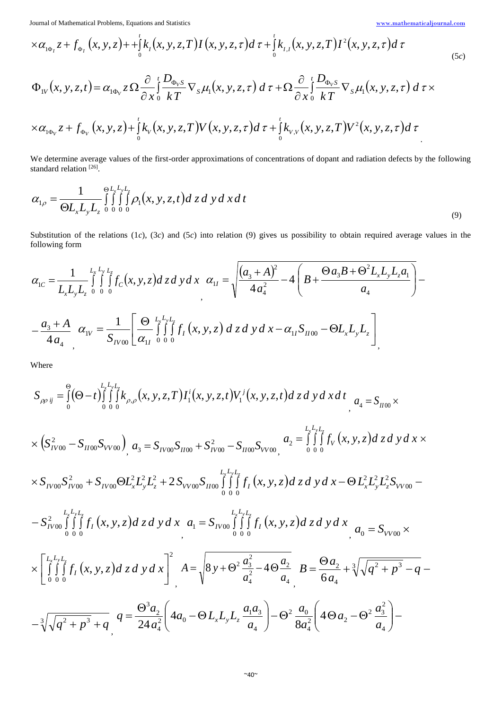.

$$
\times \alpha_{1\Phi_I} z + f_{\Phi_I}(x, y, z) + \int_0^t k_I(x, y, z, T) I(x, y, z, \tau) d\tau + \int_0^t k_{I,I}(x, y, z, T) I^2(x, y, z, \tau) d\tau
$$
\n
$$
\Phi_{1V}(x, y, z, t) = \alpha_{1\Phi_V} z \Omega \frac{\partial}{\partial x} \int_0^t \frac{D_{\Phi_V S}}{kT} \nabla_S \mu_1(x, y, z, \tau) d\tau + \Omega \frac{\partial}{\partial x} \int_0^t \frac{D_{\Phi_V S}}{kT} \nabla_S \mu_1(x, y, z, \tau) d\tau \times
$$
\n(5c)

$$
\times \alpha_{1\Phi_V} z + f_{\Phi_V}(x, y, z) + \int_0^t k_V(x, y, z, \tau) V(x, y, z, \tau) d\tau + \int_0^t k_{V,V}(x, y, z, \tau) V^2(x, y, z, \tau) d\tau
$$

We determine average values of the first-order approximations of concentrations of dopant and radiation defects by the following standard relation<sup>[26]</sup>.

$$
\alpha_{1\rho} = \frac{1}{\Theta L_x L_y L_z} \int_{0}^{\Theta L_x L_y L_z} \int_{0}^{\Theta L_x L_y L_z} \rho_1(x, y, z, t) dz dy dx dt
$$
\n(9)

Substitution of the relations (1*c*), (3*c*) and (5*c*) into relation (9) gives us possibility to obtain required average values in the following form

$$
\alpha_{1C} = \frac{1}{L_x L_y L_z} \int_{0}^{L_x L_y L_z} \int_{0}^{L_y L_z} f_C(x, y, z) dz dy dx \quad \alpha_{1I} = \sqrt{\frac{(a_3 + A)^2}{4a_4^2} - 4\left(B + \frac{\Theta a_3 B + \Theta^2 L_x L_y L_z a_1}{a_4}\right)} - \frac{a_3 + A}{4a_4} \quad \alpha_{1V} = \frac{1}{S_{IV00}} \left[ \frac{\Theta}{\alpha_{1I}} \int_{0}^{L_x L_y L_z} f_I(x, y, z) dz dy dx - \alpha_{1I} S_{II00} - \Theta L_x L_y L_z \right]_{0}^{2}
$$

Where

$$
S_{\rho\rho ij} = \int_{0}^{\infty} (\Theta - t) \int_{0}^{L_{2}L_{2}} \int_{0}^{L_{3}L_{3}} (x, y, z, T) I_{1}^{i}(x, y, z, t) V_{1}^{j}(x, y, z, t) dz dy dx dt_{1} d4 = S_{I\sigma 0} \times
$$
  
\n
$$
\times \left( S_{I\sigma 00}^{2} - S_{I\sigma 00} S_{V\sigma 00} \right)_{0}^{2} = S_{I\sigma 00} S_{I\sigma 00} + S_{I\sigma 00}^{2} - S_{I\sigma 00} S_{V\sigma 00} \Big|_{0}^{2} = \int_{0}^{L_{2}L_{1}^{2}} \int_{0}^{L_{2}} f_{V}(x, y, z) dz dy dx \times
$$
  
\n
$$
\times S_{I\sigma 00} S_{I\sigma 00}^{2} + S_{I\sigma 00} \Theta L_{x}^{2} L_{y}^{2} L_{z}^{2} + 2 S_{V\sigma 00} S_{I\sigma 00} \int_{0}^{L_{2}L_{1}^{2}} \int_{0}^{L_{1}} f_{I}(x, y, z) dz dy dx - \Theta L_{x}^{2} L_{y}^{2} L_{z}^{2} S_{V\sigma 00} -
$$
  
\n
$$
- S_{I\sigma 00}^{2} \int_{0}^{L_{2}L_{2}^{2}} \int_{0}^{L_{1}} f_{I}(x, y, z) dz dy dx_{1} d_{1} = S_{I\sigma 00} \int_{0}^{L_{2}L_{2}^{2}} \int_{0}^{L_{1}} f_{I}(x, y, z) dz dy dx_{1} d_{0} = S_{V\sigma 00} \times
$$
  
\n
$$
\times \left[ \int_{0}^{L_{1}L_{2}^{2}} \int_{0}^{L_{2}} f_{I}(x, y, z) dz dy dx \right]^{2} A = \sqrt{8 y + \Theta^{2} \frac{a_{3}^{2}}{a_{4}^{2}} - 4 \Theta \frac{a_{2}}{a_{4}}}, B = \frac{\Theta a_{2}}{6 a_{4}} + \sqrt[3]{\sqrt{q^{2} + p^{3}} - q} -
$$
  
\n
$$
- \sqrt[3]{\sqrt{q^{2} + p^{3}} + q}, q = \frac
$$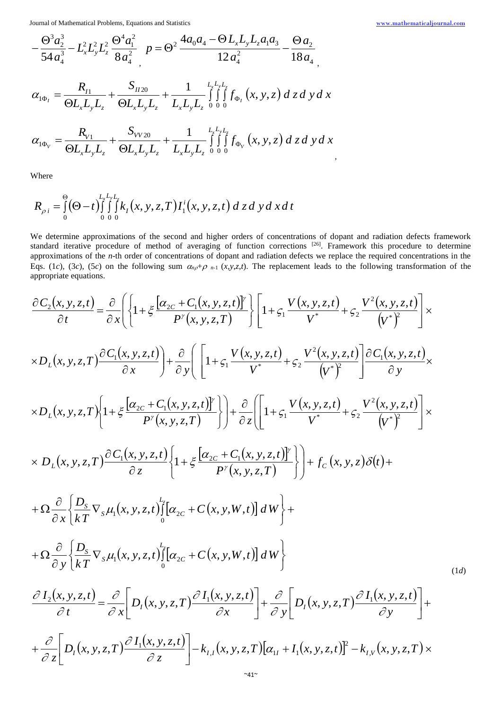$$
\underline{\bf www.mathematical journal.com}
$$

$$
-\frac{\Theta^3 a_2^3}{54 a_4^3} - L_x^2 L_y^2 L_z^2 \frac{\Theta^4 a_1^2}{8 a_4^2} \quad p = \Theta^2 \frac{4a_0 a_4 - \Theta L_x L_y L_z a_1 a_3}{12 a_4^2} - \frac{\Theta a_2}{18 a_4}
$$
\n
$$
\alpha_{1\Phi_I} = \frac{R_{I1}}{\Theta L_x L_y L_z} + \frac{S_{I120}}{\Theta L_x L_y L_z} + \frac{1}{L_x L_y L_z} \int_{0}^{L_x L_y L_z} \int_{0}^{L_y L_y} f_{\Phi_I}(x, y, z) \, dz \, dy \, dx
$$
\n
$$
R_{V1} \qquad S_{VV20} \qquad 1 - \frac{L_x L_y L_z}{12 a_4^2} \quad (1 - \Phi^2) \, dz \, dy \, dz
$$

$$
\alpha_{1\Phi_{V}} = \frac{R_{V1}}{\Theta L_{x}L_{y}L_{z}} + \frac{S_{VV20}}{\Theta L_{x}L_{y}L_{z}} + \frac{1}{L_{x}L_{y}L_{z}}\int_{0}^{2\pi} \int_{0}^{2\pi} f_{\Phi_{V}}(x, y, z) dz dy dx
$$

Where

$$
R_{\rho i} = \int_{0}^{\Theta} (\Theta - t) \int_{0}^{L_{x}L_{y}L_{z}} \int_{0}^{L_{x}L_{z}} k_{I}(x, y, z, T) I_{1}^{i}(x, y, z, t) d z d y d x d t
$$

We determine approximations of the second and higher orders of concentrations of dopant and radiation defects framework standard iterative procedure of method of averaging of function corrections <sup>[26]</sup>. Framework this procedure to determine approximations of the *n*-th order of concentrations of dopant and radiation defects we replace the required concentrations in the Eqs. (1*c*), (3*c*), (5*c*) on the following sum  $\alpha_{n}$ + $\rho$ <sub>n-1</sub> (*x*,*y*,*z*,*t*). The replacement leads to the following transformation of the appropriate equations.

$$
\frac{\partial C_{2}(x,y,z,t)}{\partial t} = \frac{\partial}{\partial x} \Biggl\{ \Biggl\{ 1 + \xi \frac{\bigl[ \alpha_{2c} + C_{1}(x,y,z,t) \bigr]^{\gamma}}{P'(x,y,z,T)} \Biggr\} \Biggl[ 1 + \zeta_{1} \frac{V(x,y,z,t)}{V^{*}} + \zeta_{2} \frac{V^{2}(x,y,z,t)}{V^{*}} \Biggr] \times
$$
\n
$$
\times D_{L}(x,y,z,T) \frac{\partial C_{1}(x,y,z,t)}{\partial x} \Biggr) + \frac{\partial}{\partial y} \Biggl[ \Biggl[ 1 + \zeta_{1} \frac{V(x,y,z,t)}{V^{*}} + \zeta_{2} \frac{V^{2}(x,y,z,t)}{V^{*}} \Biggr] \frac{\partial C_{1}(x,y,z,t)}{\partial y} \times
$$
\n
$$
\times D_{L}(x,y,z,T) \Biggl\{ 1 + \xi \frac{\bigl[ \alpha_{2c} + C_{1}(x,y,z,t) \bigr]^{\gamma}}{P'(x,y,z,T)} \Bigr\} + \frac{\partial}{\partial z} \Biggl[ \Biggl[ 1 + \zeta_{1} \frac{V(x,y,z,t)}{V^{*}} + \zeta_{2} \frac{V^{2}(x,y,z,t)}{V^{*}} \Biggr] \times
$$
\n
$$
\times D_{L}(x,y,z,T) \frac{\partial C_{1}(x,y,z,t)}{\partial z} \Biggl\{ 1 + \xi \frac{\bigl[ \alpha_{2c} + C_{1}(x,y,z,t) \bigr]^{\gamma}}{P'(x,y,z,T)} \Bigr\} + f_{C}(x,y,z) \delta(t) +
$$
\n
$$
+ \Omega \frac{\partial}{\partial x} \Biggl\{ \frac{D_{s}}{kT} \nabla_{s} \mu_{1}(x,y,z,t) \Biggl\{ \bigl[ \alpha_{2c} + C(x,y,W,t) \bigr] \, dW \Biggr\} +
$$
\n
$$
+ \Omega \frac{\partial}{\partial y} \Biggl\{ \frac{D_{s}}{kT} \nabla_{s} \mu_{1}(x,y,z,t) \Biggr\} \Biggl[ \alpha_{2c} + C(x,y,W,t) \Biggr] \, dW \Biggr\}
$$
\n
$$
+ \frac{\partial}{\partial z} \Biggl[ D_{I}(x,y,z,t) - \frac{\partial I_{1}(x,y,z,t)}{\partial x} \Biggr] + \frac{\partial}{\partial y
$$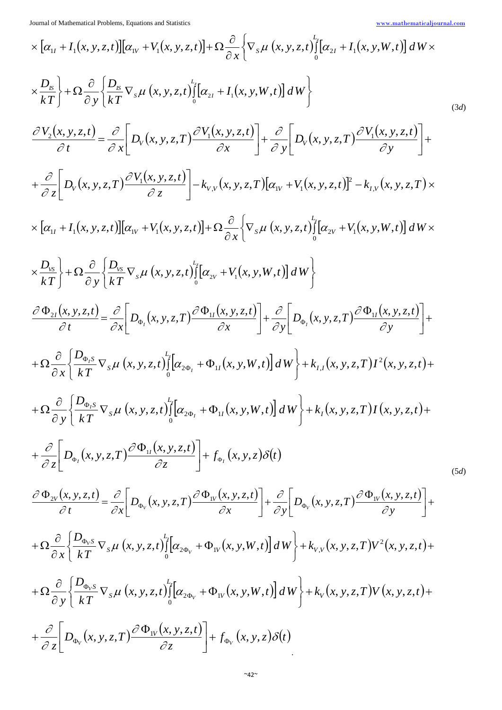$$
\times [\alpha_{ij} + I_1(x, y, z, t)][\alpha_{ij} + V_1(x, y, z, t)] + \Omega \frac{\partial}{\partial x} \Big\{ \nabla_x \mu (x, y, z, t) \Big\} [a_{2x} + I_1(x, y, W, t)] dW \times
$$
  
\n
$$
\times \frac{D_x}{kT} + \Omega \frac{\partial}{\partial y} \Big\{ \frac{D_x}{kT} \nabla_x \mu (x, y, z, t) \Big\} [a_{2x} + I_1(x, y, W, t)] dW \Big\}
$$
  
\n
$$
\frac{\partial V_2(x, y, z, t)}{\partial t} = \frac{\partial}{\partial x} \Big[ D_y(x, y, z, T) \frac{\partial V_1(x, y, z, t)}{\partial x} \Big] + \frac{\partial}{\partial y} \Big[ D_y(x, y, z, T) \frac{\partial V_1(x, y, z, t)}{\partial y} \Big] +
$$
  
\n
$$
+ \frac{\partial}{\partial z} \Big[ D_y(x, y, z, T) \frac{\partial V_1(x, y, z, t)}{\partial z} \Big] - k_{yy}(x, y, z, T) [a_{yy} + V_1(x, y, z, t)]^T - k_{yy}(x, y, z, T) \times
$$
  
\n
$$
\times [a_{xy} + I_1(x, y, z, t)][a_{xy} + V_1(x, y, z, t)] + \Omega \frac{\partial}{\partial x} \Big\{ \nabla_x \mu (x, y, z, t) \Big\} [a_{2x} + V_1(x, y, W, t)] dW \Big\}
$$
  
\n
$$
\times \frac{D_{xy}}{kT} \Big\} + \Omega \frac{\partial}{\partial y} \Big[ \frac{D_{xy}}{kT} \nabla_y \mu (x, y, z, t) \Big\} [a_{2y} + V_1(x, y, W, t)] dW \Big\}
$$
  
\n
$$
\frac{\partial \Phi_{yy}(x, y, z, t)}{\partial t} = \frac{\partial}{\partial x} \Big[ D_{\phi_1}(x, y, z, t) \Big\{ \Big[ a_{2y} + V_1(x, y, W, t) \Big] dW \Big\} + k_{IJ}(x, y, z, T) \frac{\partial \Phi_{IJ}(x, y, z, t)}{\partial y} +
$$
  
\n
$$
+ \Omega \frac{\partial}{\
$$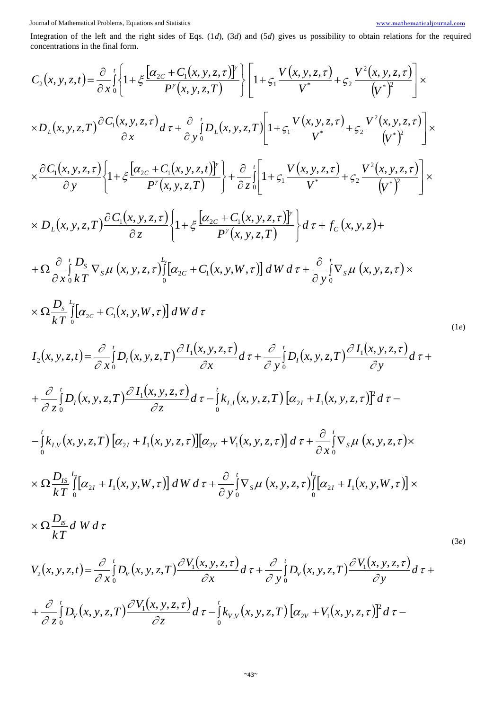Integration of the left and the right sides of Eqs. (1*d*), (3*d*) and (5*d*) gives us possibility to obtain relations for the required concentrations in the final form.

$$
C_{2}(x, y, z, t) = \frac{\partial}{\partial x} \left\{ 1 + \xi \frac{[\alpha_{zc} + C_{1}(x, y, z, \tau)]}{P'(x, y, z, T)} \right\} \left[ 1 + \xi_{1} \frac{V(x, y, z, \tau)}{V} + \xi_{2} \frac{V^{2}(x, y, z, \tau)}{(V^{2})} \right] \times
$$
  
\n
$$
\times D_{L}(x, y, z, T) \frac{\partial C_{1}(x, y, z, \tau)}{\partial x} d\tau + \frac{\partial}{\partial y} \left\{ D_{L}(x, y, z, T) \right\} \left[ 1 + \xi_{1} \frac{V(x, y, z, \tau)}{V^{2}} + \xi_{2} \frac{V^{2}(x, y, z, \tau)}{(V^{2})} \right] \times
$$
  
\n
$$
\times \frac{\partial C_{1}(x, y, z, \tau)}{\partial y} \left\{ 1 + \xi \frac{[\alpha_{zc} + C_{1}(x, y, z, t)]}{P'(x, y, z, T)} \right\} + \frac{\partial}{\partial z} \left\{ 1 + \xi_{1} \frac{V(x, y, z, \tau)}{V^{2}} + \xi_{2} \frac{V^{2}(x, y, z, \tau)}{(V^{2})} \right\} \times
$$
  
\n
$$
D_{L}(x, y, z, T) \frac{\partial C_{1}(x, y, z, \tau)}{\partial z} \left\{ 1 + \xi \frac{[\alpha_{zc} + C_{1}(x, y, y, \tau)]}{P'(x, y, z, T)} \right\} d\tau + f_{C}(x, y, z) +
$$
  
\n
$$
+ \Omega \frac{\partial}{\partial x} \left\{ \frac{1}{n} \sum_{y} \nabla_{y} \mu(x, y, z, \tau) \left[ [\alpha_{2c} + C_{1}(x, y, W, \tau)] \right] dW d\tau + \frac{\partial}{\partial y} \left\{ \nabla_{y} \mu(x, y, z, \tau) \right\} d\tau +
$$
  
\n
$$
I_{2}(x, y, z, t) = \frac{\partial}{\partial x} \left\{ D_{L}(x, y, z, T) \frac{\partial I_{1}(x, y, z, \tau)}{\partial x} d\tau + \frac{\partial}{\partial y} \left\{ D_{L}(x, y, z, T) \frac
$$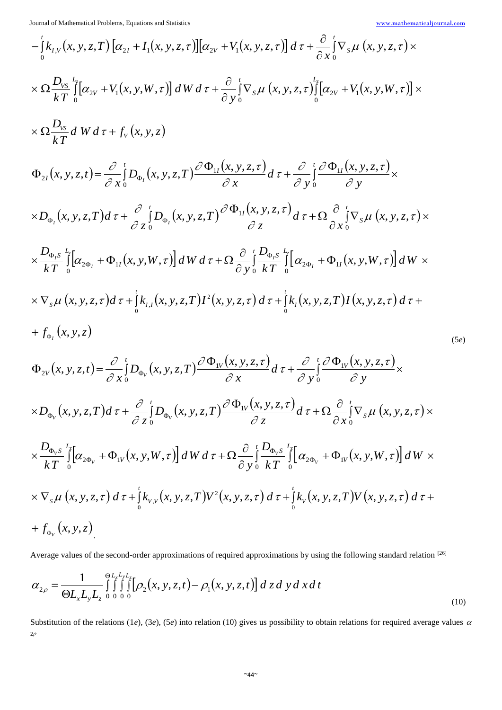$$
-\frac{i}{6}k_{I,V}(x, y, z, T)[\alpha_{2I} + I_1(x, y, z, r)][\alpha_{2V} + V_1(x, y, z, r)] d\tau + \frac{\partial}{\partial x} \frac{i}{6} \nabla_s \mu (x, y, z, r) \times
$$
  
\n
$$
\times \Omega \frac{D_{V_1}}{kT} \frac{i}{6} [\alpha_{2V} + V_1(x, y, W, r)] dW d\tau + \frac{\partial}{\partial y} \frac{i}{6} \nabla_s \mu (x, y, z, r) \frac{i}{6} [\alpha_{2V} + V_1(x, y, W, r)] \times
$$
  
\n
$$
\times \Omega \frac{D_{V_2}}{kT} dW d\tau + f_V(x, y, z)
$$
  
\n
$$
\Phi_{2I}(x, y, z, t) = \frac{\partial}{\partial x} \frac{i}{6} D_{\theta_1}(x, y, z, T) \frac{\partial \Phi_{1I}(x, y, z, r)}{\partial x} d\tau + \frac{\partial}{\partial y} \frac{i}{6} \frac{\partial \Phi_{1I}(x, y, z, r)}{\partial y} \times
$$
  
\n
$$
\times D_{\theta_2}(x, y, z, T) d\tau + \frac{\partial}{\partial z} \frac{i}{6} D_{\theta_1}(x, y, z, T) \frac{\partial \Phi_{1I}(x, y, z, r)}{\partial z} d\tau + \Omega \frac{\partial}{\partial x} \frac{i}{6} \nabla_s \mu (x, y, z, \tau) \times
$$
  
\n
$$
\frac{D_{\theta_2 S}}{kT} \frac{i}{6} [\alpha_{2\theta_1} + \Phi_{1I}(x, y, W, r)] dW d\tau + \Omega \frac{\partial}{\partial y} \frac{i}{6} \frac{\partial \Phi_{2I}}{kT} \frac{i}{6} [\alpha_{2\theta_1} + \Phi_{1I}(x, y, W, r)] dW \times
$$
  
\n
$$
\times \nabla_s \mu (x, y, z, r) d\tau + \frac{i}{6} k_{I,V}(x, y, z, T) I^2(x, y, z, r) d\tau + \frac{i}{6} k_{I}(x, y, z, T) I(x, y, z, r) d\tau +
$$
  
\n
$$
+ f_{\theta_V}(x, y, z)
$$
  
\n
$$
\Phi_{2V}(
$$

Average values of the second-order approximations of required approximations by using the following standard relation [26]

$$
\alpha_{2\rho} = \frac{1}{\Theta L_x L_y L_z} \int_{0}^{\Theta L_x L_y L_z} \int_{0}^{\Theta L_x L_y L_z} \left[ \rho_2(x, y, z, t) - \rho_1(x, y, z, t) \right] dz dy dx dt
$$
\n(10)

Substitution of the relations (1*e*), (3*e*), (5*e*) into relation (10) gives us possibility to obtain relations for required average values  $\alpha$  $2\rho$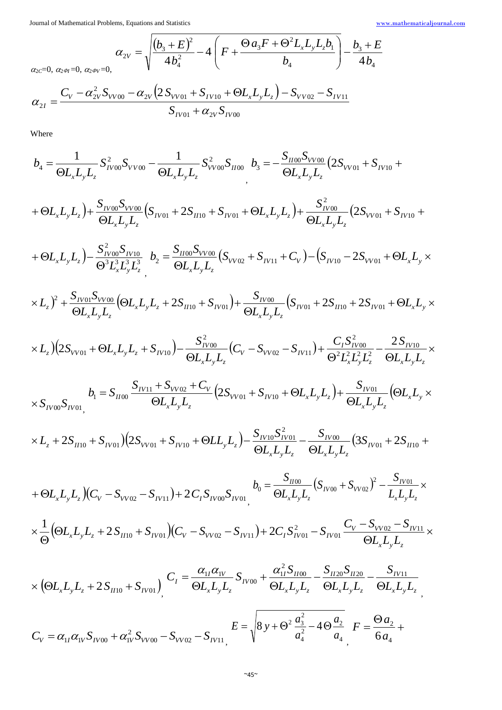$$
\alpha_{2V} = \sqrt{\frac{(b_3 + E)^2}{4b_4^2} - 4\left(F + \frac{\Theta a_3 F + \Theta^2 L_x L_y L_z b_1}{b_4}\right) - \frac{b_3 + E}{4b_4}}
$$

 $\alpha_{2C}=0, \ \alpha_{2\Phi I}=0, \ \alpha_{2\Phi V}$ 

$$
\alpha_{2I} = \frac{C_V - \alpha_{2V}^2 S_{VV00} - \alpha_{2V} (2 S_{VV01} + S_{IV10} + \Theta L_x L_y L_z) - S_{VV02} - S_{IV11}}{S_{IV01} + \alpha_{2V} S_{IV00}}
$$

Where

$$
b_4 = \frac{1}{\Theta L_x L_y L_z} S_{IV00}^2 S_{VV00} - \frac{1}{\Theta L_x L_y L_z} S_{VV00}^2 S_{II00} \quad b_3 = -\frac{S_{II00} S_{VV00}}{\Theta L_x L_y L_z} (2S_{VV01} + S_{IV10} + S_{IV11})
$$

$$
\sigma_{L_x L_y L_z}
$$
\n
$$
+ \Theta L_x L_y L_z + \frac{S_{N00} S_{VV00}}{\Theta L_x L_y L_z} (S_{N01} + 2S_{N10} + S_{N01} + \Theta L_x L_y L_z) + \frac{S_{N00}^2}{\Theta L_x L_y L_z} (2S_{VV01} + S_{N10} + S_{N10} + S_{N10} + \Theta L_y L_z) + \frac{S_{N00}^2}{\Theta L_x L_y L_z} (2S_{VV01} + S_{N10} + S_{N10} + S_{N10} + S_{N10} + S_{N10} + S_{N10} + S_{N10} + S_{N10} + S_{N10} + S_{N10} + S_{N10} + S_{N10} + S_{N10} + S_{N10} + S_{N10} + S_{N10} + S_{N10} + S_{N10} + S_{N10} + S_{N10} + S_{N10} + S_{N10} + S_{N10} + S_{N10} + S_{N10} + S_{N10} + S_{N10} + S_{N10} + S_{N10} + S_{N10} + S_{N10} + S_{N10} + S_{N10} + S_{N10} + S_{N10} + S_{N10} + S_{N10} + S_{N10} + S_{N10} + S_{N10} + S_{N10} + S_{N10} + S_{N10} + S_{N10} + S_{N10} + S_{N10} + S_{N10} + S_{N10} + S_{N10} + S_{N10} + S_{N10} + S_{N10} + S_{N10} + S_{N10} + S_{N10} + S_{N10} + S_{N10} + S_{N10} + S_{N10} + S_{N10} + S_{N10} + S_{N10} + S_{N10} + S_{N10} + S_{N10} + S_{N10} + S_{N10} + S_{N10} + S_{N10} + S_{N10} + S_{N10} + S_{N10} + S_{N10} + S_{N10} + S_{N10} + S_{N10} + S_{N10} + S_{N10} + S_{N10} + S_{N10} + S_{N10} + S_{N10} + S_{N10} +
$$

$$
+ \Theta L_x L_y L_z \Big) - \frac{S_{IV00}^2 S_{IV10}}{\Theta^3 L_x^3 L_y^3 L_z^3} \Bigg| b_2 = \frac{S_{IV00} S_{VV00}}{\Theta L_x L_y L_z} \Big( S_{VV02} + S_{IV11} + C_V \Big) - \Big( S_{IV10} - 2 S_{VV01} + \Theta L_x L_y \times
$$

$$
\Theta L_x L_y L_z
$$
  
\n
$$
\times L_z)^2 + \frac{S_{I\text{V01}} S_{V\text{V00}}}{\Theta L_x L_y L_z} (\Theta L_x L_y L_z + 2S_{I\text{10}} + S_{I\text{V01}}) + \frac{S_{I\text{V00}}}{\Theta L_x L_y L_z} (S_{I\text{V01}} + 2S_{I\text{10}} + 2S_{I\text{V01}} + \Theta L_x L_y \times
$$

$$
\Theta L_x L_y L_z
$$
  
\n
$$
\times L_z \Big) \Big( 2S_{VV01} + \Theta L_x L_y L_z + S_{IV10} \Big) - \frac{S_{IV00}^2}{\Theta L_x L_y L_z} \Big( C_V - S_{VV02} - S_{IV11} \Big) + \frac{C_I S_{IV00}^2}{\Theta^2 L_x^2 L_y^2 L_z^2} - \frac{2S_{IV10}}{\Theta L_x L_y L_z} \times
$$

$$
S_{x} = S_{x}S_{y} + S_{z}
$$
\n
$$
S_{x} = S_{y}S_{y} + S_{y}S_{z}
$$
\n
$$
S_{x} = S_{y}S_{y} + S_{y}S_{z}
$$
\n
$$
S_{y} = S_{y}S_{y} + S_{y}S_{z}
$$
\n
$$
S_{y} = S_{y}S_{y} + S_{y}S_{z}
$$
\n
$$
S_{y} = S_{y}S_{y} + S_{y}S_{z}
$$
\n
$$
S_{y} = S_{y}S_{y} + S_{y}S_{z}
$$
\n
$$
S_{y} = S_{y}S_{y} + S_{y}S_{z}
$$
\n
$$
S_{y} = S_{y}S_{y} + S_{y}S_{z}
$$

$$
\times S_{IV00} S_{IV01}
$$
\n
$$
\times L_z + 2S_{II10} + S_{IV01} (2S_{VV01} + S_{IV10} + \Theta L L_y L_z) - \frac{S_{IV10} S_{IV01}^2}{\Theta L_x L_y L_z} - \frac{S_{IV00}}{\Theta L_x L_y L_z} (3S_{IV01} + 2S_{II10} + S_{IV01} + \Theta L_z L_z) - \frac{S_{IV00} S_{IV01}^2}{\Theta L_x L_y L_z} - \frac{S_{IV00}}{\Theta L_x L_y L_z} (3S_{IV01} + 2S_{IV01} + \Theta L_z L_z) - \frac{S_{IV00} S_{IV01}^2}{\Theta L_x L_y L_z} - \frac{S_{IV00}}{\Theta L_x L_y L_z} (3S_{IV01} + 2S_{IV01} + \Theta L_z L_z) - \frac{S_{IV00} S_{IV01}^2}{\Theta L_x L_y L_z} - \frac{S_{IV00}}{\Theta L_x L_y L_z} (3S_{IV01} + 2S_{IV01} + \Theta L_z L_z) - \frac{S_{IV00}}{\Theta L_x L_y L_z} (3S_{IV01} + 2S_{IV01} + \Theta L_z L_z) - \frac{S_{IV00}}{\Theta L_x L_y L_z} - \frac{S_{IV00}}{\Theta L_x L_y L_z} (3S_{IV01} + 2S_{IV01} + \Theta L_z L_z) - \frac{S_{IV00}}{\Theta L_x L_y L_z} (3S_{IV01} + 2S_{IV01} + \Theta L_z L_z) - \frac{S_{IV00}}{\Theta L_x L_y L_z} (3S_{IV01} + 2S_{IV01} + \Theta L_z L_z) - \frac{S_{IV00}}{\Theta L_x L_y L_z} (3S_{IV01} + 2S_{IV01} + \Theta L_z L_z) - \frac{S_{IV00}}{\Theta L_x L_y L_z} (3S_{IV01} + 2S_{IV01} + \Theta L_z L_z) - \frac{S_{IV00}}{\Theta L_x L_y L_z} (3S_{IV01} + 2S_{IV01} + \Theta L_z L_z) - \frac{S_{IV00}}{\Theta L_x L_y L_z} (3S_{IV01} + 2S_{IV01} + \Theta L_z L_z) - \frac{S_{IV00}}{\Theta L_x L_y L_z} (3S_{IV01} +
$$

$$
+ \Theta L_x L_y L_z \Big) \Big( C_V - S_{VV02} - S_{IV11} \Big) + 2 C_I S_{IV00} S_{IV01} \Big|_{v_0} = \frac{S_{II00}}{\Theta L_x L_y L_z} \Big( S_{IV00} + S_{VV02} \Big)^2 - \frac{S_{IV01}}{L_x L_y L_z} \times
$$

$$
+ \Theta L_x L_y L_z J (C_V - S_{VV02} - S_{IV11}) + 2 C_I S_{IV00} S_{IV01} \qquad \Theta L_x L_y L_z
$$
  

$$
\times \frac{1}{\Theta} (\Theta L_x L_y L_z + 2 S_{II10} + S_{IV01}) (C_V - S_{VV02} - S_{IV11}) + 2 C_I S_{IV01}^2 - S_{IV01} \frac{C_V - S_{VV02} - S_{IV11}}{\Theta L_x L_y L_z} \times
$$

$$
\times \left(\Theta L_x L_y L_z + 2 S_{\mu 10} + S_{\mu 01}\right)_{,}^{}
$$
  

$$
C_I = \frac{\alpha_{1I} \alpha_{1V}}{\Theta L_x L_y L_z} S_{\mu 00} + \frac{\alpha_{1I}^2 S_{\mu 00}}{\Theta L_x L_y L_z} - \frac{S_{\mu 20} S_{\mu 20}}{\Theta L_x L_y L_z} - \frac{S_{\mu 11}}{\Theta L_x L_y L_z}
$$

$$
C_{V} = \alpha_{1I} \alpha_{1V} S_{I V 00} + \alpha_{1V}^{2} S_{V V 00} - S_{V V 02} - S_{I V 11} E = \sqrt{8 y + \Theta^{2} \frac{a_{3}^{2}}{a_{4}^{2}} - 4 \Theta \frac{a_{2}}{a_{4}}} F = \frac{\Theta a_{2}}{6 a_{4}} + \frac{1}{2} \Theta a_{2}^{2} + \Theta a_{3}^{2} + \Theta a_{4}^{2} + \Theta a_{5}^{2} + \Theta a_{6}^{2} + \Theta a_{7}^{2} + \Theta a_{8}^{2} + \Theta a_{9}^{2} + \Theta a_{9}^{2} + \Theta a_{1}^{2} + \Theta a_{1}^{2} + \Theta a_{1}^{2} + \Theta a_{1}^{2} + \Theta a_{1}^{2} + \Theta a_{1}^{2} + \Theta a_{1}^{2} + \Theta a_{1}^{2} + \Theta a_{1}^{2} + \Theta a_{1}^{2} + \Theta a_{1}^{2} + \Theta a_{1}^{2} + \Theta a_{1}^{2} + \Theta a_{1}^{2} + \Theta a_{1}^{2} + \Theta a_{1}^{2} + \Theta a_{1}^{2} + \Theta a_{1}^{2} + \Theta a_{1}^{2} + \Theta a_{1}^{2} + \Theta a_{1}^{2} + \Theta a_{1}^{2} + \Theta a_{1}^{2} + \Theta a_{1}^{2} + \Theta a_{1}^{2} + \Theta a_{1}^{2} + \Theta a_{1}^{2} + \Theta a_{1}^{2} + \Theta a_{1}^{2} + \Theta a_{1}^{2} + \Theta a_{1}^{2} + \Theta a_{1}^{2} + \Theta a_{1}^{2} + \Theta a_{1}^{2} + \Theta a_{1}^{2} + \Theta a_{1}^{2} + \Theta a_{1}^{2} + \Theta a_{1}^{2} + \Theta a_{1}^{2} + \Theta a_{1}^{2} + \Theta a_{1}^{2} + \Theta a_{1}^{2} + \Theta a_{1}^{2} + \Theta a_{1}^{2} + \Theta a_{1}^{2} + \Theta a_{1}^{2} + \Theta a_{1}^{2} + \Theta a_{1}^{2} + \Theta a_{1}^{2} + \Theta a_{1}^{2} + \Theta a_{1}^{2} + \Theta a_{1}^{2} + \Theta a_{1}^{2} + \Theta a_{1}
$$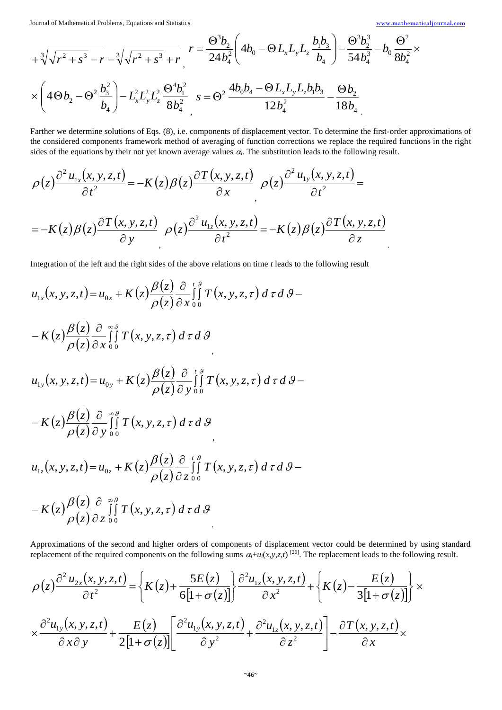$$
+ \sqrt[3]{\sqrt{r^2 + s^3} - r} - \sqrt[3]{\sqrt{r^2 + s^3} + r} \r = \frac{\Theta^3 b_2}{24 b_4^2} \left( 4b_0 - \Theta L_x L_y L_z \frac{b_1 b_3}{b_4} \right) - \frac{\Theta^3 b_2^3}{54 b_4^3} - b_0 \frac{\Theta^2}{8 b_4^2} \times \left( 4\Theta b_2 - \Theta^2 \frac{b_3^2}{b_4} \right) - L_x^2 L_y^2 L_z^2 \frac{\Theta^4 b_1^2}{8 b_4^2} \r s = \Theta^2 \frac{4b_0 b_4 - \Theta L_x L_y L_z b_1 b_3}{12 b_4^2} - \frac{\Theta b_2}{18 b_4}
$$

Farther we determine solutions of Eqs. (8), i.e. components of displacement vector. To determine the first-order approximations of the considered components framework method of averaging of function corrections we replace the required functions in the right sides of the equations by their not yet known average values  $\alpha_i$ . The substitution leads to the following result.

$$
\rho(z)\frac{\partial^2 u_{1x}(x, y, z, t)}{\partial t^2} = -K(z)\beta(z)\frac{\partial T(x, y, z, t)}{\partial x} \rho(z)\frac{\partial^2 u_{1y}(x, y, z, t)}{\partial t^2} = -K(z)\beta(z)\frac{\partial T(x, y, z, t)}{\partial y} \rho(z)\frac{\partial^2 u_{1z}(x, y, z, t)}{\partial t^2} = -K(z)\beta(z)\frac{\partial T(x, y, z, t)}{\partial z}
$$

Integration of the left and the right sides of the above relations on time *t* leads to the following result

$$
u_{1x}(x, y, z, t) = u_{0x} + K(z) \frac{\beta(z)}{\rho(z)} \frac{\partial}{\partial x} \int_{0}^{t} \int_{0}^{s} T(x, y, z, \tau) d\tau d\theta - K(z) \frac{\beta(z)}{\rho(z)} \frac{\partial}{\partial x} \int_{0}^{s} \int_{0}^{\beta} T(x, y, z, \tau) d\tau d\theta
$$
  

$$
u_{1y}(x, y, z, t) = u_{0y} + K(z) \frac{\beta(z)}{\rho(z)} \frac{\partial}{\partial y} \int_{0}^{t} \int_{0}^{s} T(x, y, z, \tau) d\tau d\theta - K(z) \frac{\beta(z)}{\rho(z)} \frac{\partial}{\partial y} \int_{0}^{s} \int_{0}^{\beta} T(x, y, z, \tau) d\tau d\theta
$$
  

$$
u_{1z}(x, y, z, t) = u_{0z} + K(z) \frac{\beta(z)}{\rho(z)} \frac{\partial}{\partial z} \int_{0}^{t} \int_{0}^{s} T(x, y, z, \tau) d\tau d\theta - K(z) \frac{\beta(z)}{\rho(z)} \frac{\partial}{\partial z} \int_{0}^{s} \int_{0}^{s} T(x, y, z, \tau) d\tau d\theta
$$

Approximations of the second and higher orders of components of displacement vector could be determined by using standard replacement of the required components on the following sums  $\alpha_i + u_i(x, y, z, t)$  [26]. The replacement leads to the following result.

$$
\rho(z)\frac{\partial^2 u_{2x}(x,y,z,t)}{\partial t^2} = \left\{K(z) + \frac{5E(z)}{6[1+\sigma(z)]}\right\} \frac{\partial^2 u_{1x}(x,y,z,t)}{\partial x^2} + \left\{K(z) - \frac{E(z)}{3[1+\sigma(z)]}\right\} \times \times \frac{\partial^2 u_{1y}(x,y,z,t)}{\partial x \partial y} + \frac{E(z)}{2[1+\sigma(z)]} \left[\frac{\partial^2 u_{1y}(x,y,z,t)}{\partial y^2} + \frac{\partial^2 u_{1z}(x,y,z,t)}{\partial z^2}\right] - \frac{\partial T(x,y,z,t)}{\partial x} \times \right.
$$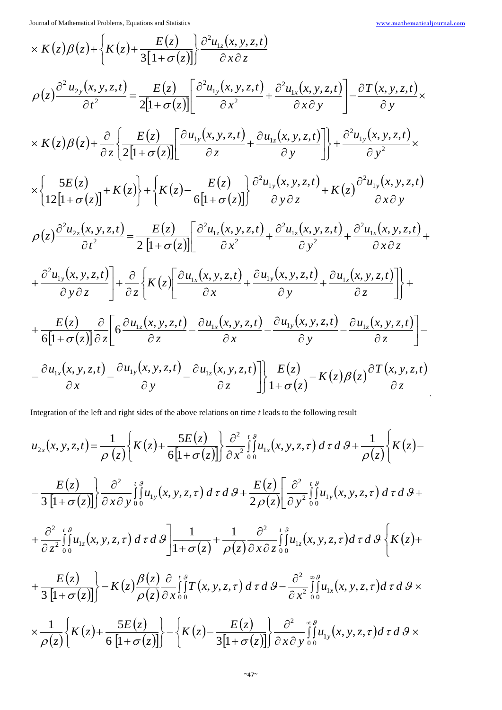$$
\times K(z)\beta(z)+\left\{K(z)+\frac{E(z)}{3[1+\sigma(z)]}\right\}\frac{\partial^2 u_{1z}(x,y,z,t)}{\partial x\partial z}
$$
\n
$$
\rho(z)\frac{\partial^2 u_{2y}(x,y,z,t)}{\partial t^2} = \frac{E(z)}{2[1+\sigma(z)]}\left[\frac{\partial^2 u_{1y}(x,y,z,t)}{\partial x^2} + \frac{\partial^2 u_{1x}(x,y,z,t)}{\partial x\partial y}\right] - \frac{\partial T(x,y,z,t)}{\partial y} \times
$$
\n
$$
\times K(z)\beta(z)+\frac{\partial}{\partial z}\left\{\frac{E(z)}{2[1+\sigma(z)]}\left[\frac{\partial u_{1y}(x,y,z,t)}{\partial z} + \frac{\partial u_{1z}(x,y,z,t)}{\partial y}\right]\right\} + \frac{\partial^2 u_{1y}(x,y,z,t)}{\partial y^2} \times
$$
\n
$$
\times \left\{\frac{5E(z)}{12[1+\sigma(z)]} + K(z)\right\} + \left\{K(z) - \frac{E(z)}{6[1+\sigma(z)]}\right\}\frac{\partial^2 u_{1y}(x,y,z,t)}{\partial y\partial z} + K(z)\frac{\partial^2 u_{1y}(x,y,z,t)}{\partial x\partial y}
$$
\n
$$
\rho(z)\frac{\partial^2 u_{2z}(x,y,z,t)}{\partial t^2} = \frac{E(z)}{2[1+\sigma(z)]}\left[\frac{\partial^2 u_{1z}(x,y,z,t)}{\partial x^2} + \frac{\partial^2 u_{1z}(x,y,z,t)}{\partial y^2} + \frac{\partial^2 u_{1z}(x,y,z,t)}{\partial x\partial z} + \frac{\partial^2 u_{1y}(x,y,z,t)}{\partial y\partial z}\right] + \frac{\partial}{\partial z}\left\{K(z)\left[\frac{\partial u_{1x}(x,y,z,t)}{\partial x} + \frac{\partial u_{1y}(x,y,z,t)}{\partial y} + \frac{\partial u_{1x}(x,y,z,t)}{\partial z}\right]\right\} + \frac{E(z)}{6[1+\sigma(z)]}\frac{\partial}{\partial z}\left[\frac{\partial u_{1z}(x,y,z,t)}{\partial z} - \frac{\partial u_{1z}(x,y,z,t)}{\partial x} - \frac{\partial u_{1z}(x,y,z,t)}{\partial y} - \frac{\partial u_{1z}(x,y,z,t)}{\partial z}\right] - \frac{\partial u_{1z}(x,y,z,t)}{\partial x} - \frac{\partial u_{1z}(x,y,z,t)}{\partial y} - \frac
$$

Integration of the left and right sides of the above relations on time *t* leads to the following result

$$
u_{2x}(x, y, z, t) = \frac{1}{\rho(z)} \Biggl\{ K(z) + \frac{5E(z)}{6[1+\sigma(z)]} \Biggr\} \frac{\partial^2}{\partial x^2} \int_0^g u_{1x}(x, y, z, \tau) d\tau d\vartheta + \frac{1}{\rho(z)} \Biggl\{ K(z) - \frac{E(z)}{3[1+\sigma(z)]} \Biggr\} \frac{\partial^2}{\partial x \partial y} \int_0^{t,g} u_{1y}(x, y, z, \tau) d\tau d\vartheta + \frac{E(z)}{2\rho(z)} \Biggl[ \frac{\partial^2}{\partial y^2} \int_0^{t,g} u_{1y}(x, y, z, \tau) d\tau d\vartheta + \frac{\partial^2}{\partial z^2} \int_0^{t,g} u_{1z}(x, y, z, \tau) d\tau d\vartheta \Biggr] \frac{1}{1+\sigma(z)} + \frac{1}{\rho(z)} \frac{\partial^2}{\partial x \partial z} \int_0^{t,g} u_{1z}(x, y, z, \tau) d\tau d\vartheta \Biggl\{ K(z) + \frac{E(z)}{3[1+\sigma(z)]} \Biggr\} - K(z) \frac{\beta(z)}{\rho(z)} \frac{\partial}{\partial x} \int_0^{t,g} T(x, y, z, \tau) d\tau d\vartheta - \frac{\partial^2}{\partial x^2} \int_0^{t,g} u_{1x}(x, y, z, \tau) d\tau d\vartheta \times \frac{1}{\rho(z)} \Biggl\{ K(z) + \frac{5E(z)}{6[1+\sigma(z)]} \Biggr\} - \Biggl\{ K(z) - \frac{E(z)}{3[1+\sigma(z)]} \Biggr\} \frac{\partial^2}{\partial x \partial y} \int_0^{s,g} u_{1y}(x, y, z, \tau) d\tau d\vartheta \times
$$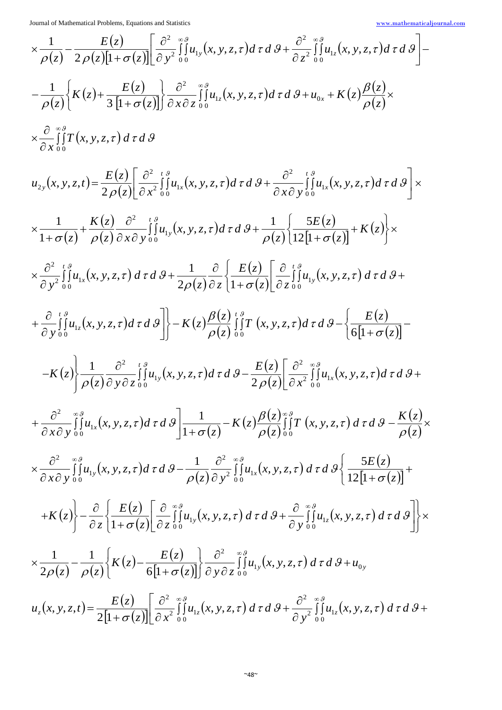$$
\times \frac{1}{\rho(z)} - \frac{E(z)}{2\rho(z)[1 + \sigma(z)]} \left[ \frac{\partial^2}{\partial y^2} \right]_{0}^{\tilde{g}} H_{1y}(x, y, z, \tau) d\tau d\theta + \frac{\partial^2}{\partial z^2} \int_{0}^{\tilde{g}} u_{1z}(x, y, z, \tau) d\tau d\theta \right] -
$$
  
\n
$$
- \frac{1}{\rho(z)} \left\{ K(z) + \frac{E(z)}{3[1 + \sigma(z)]} \right\} \frac{\partial^2}{\partial x \partial z} \int_{0}^{\tilde{g}} u_{1z}(x, y, z, \tau) d\tau d\theta + u_{0z} + K(z) \frac{\rho(z)}{\rho(z)} \times
$$
  
\n
$$
\times \frac{\partial}{\partial x} \int_{0}^{\tilde{g}} f(x, y, z, \tau) d\tau d\theta
$$
  
\n
$$
u_{2y}(x, y, z, t) = \frac{E(z)}{2\rho(z)} \left[ \frac{\partial^2}{\partial x^2} \int_{0}^{\tilde{g}} u_{1z}(x, y, z, \tau) d\tau d\theta + \frac{\partial^2}{\partial x \partial y} \int_{0}^{\tilde{g}} u_{1z}(x, y, z, \tau) d\tau d\theta \right] \times
$$
  
\n
$$
\times \frac{1}{1 + \sigma(z)} + \frac{K(z)}{\rho(z)} \frac{\partial^2}{\partial x \partial y} \int_{0}^{\tilde{g}} u_{1y}(x, y, z, \tau) d\tau d\theta + \frac{1}{\rho(z)} \left\{ \frac{5E(z)}{12[1 + \sigma(z)]} + K(z) \right\} \times
$$
  
\n
$$
\times \frac{\partial^2}{\partial y^2} \int_{0}^{\tilde{g}} u_{1z}(x, y, z, \tau) d\tau d\theta + \frac{1}{2\rho(z)} \frac{\partial}{\partial z} \left\{ \frac{E(z)}{1 + \sigma(z)} \left[ \frac{\partial}{\partial z} \int_{0}^{\tilde{g}} u_{1y}(x, y, z, \tau) d\tau d\theta +
$$
  
\n
$$
+ \frac{\partial}{\partial y} \int_{0}^{\tilde{g}} u_{1z}(x, y, z, \tau) d\tau d\theta \right\} \right\
$$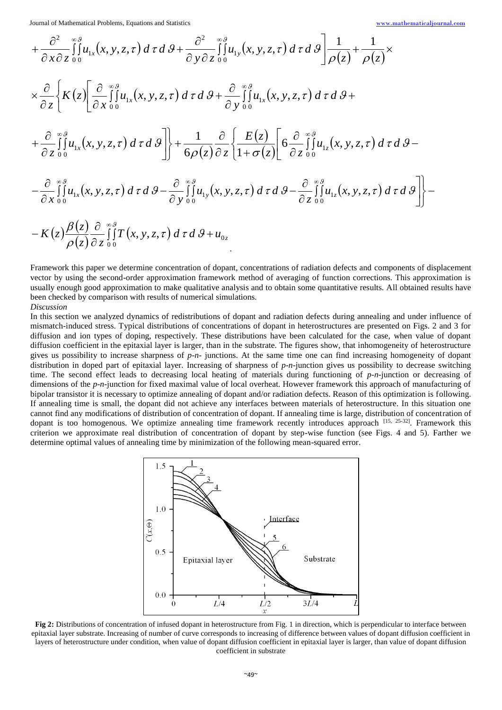$$
+\frac{\partial^2}{\partial x \partial z} \int_{0}^{\infty} u_{1x}(x, y, z, \tau) d\tau d\theta + \frac{\partial^2}{\partial y \partial z} \int_{0}^{\infty} u_{1y}(x, y, z, \tau) d\tau d\theta \Big] \frac{1}{\rho(z)} + \frac{1}{\rho(z)} \times
$$
  
\n
$$
\times \frac{\partial}{\partial z} \Biggl\{ K(z) \Biggl[ \frac{\partial}{\partial x} \int_{0}^{\infty} u_{1x}(x, y, z, \tau) d\tau d\theta + \frac{\partial}{\partial y} \int_{0}^{\infty} u_{1x}(x, y, z, \tau) d\tau d\theta +
$$
  
\n
$$
+\frac{\partial}{\partial z} \int_{0}^{\infty} u_{1x}(x, y, z, \tau) d\tau d\theta \Biggr] \Biggr\} + \frac{1}{6\rho(z)} \frac{\partial}{\partial z} \Biggl\{ \frac{E(z)}{1 + \sigma(z)} \Biggl[ 6 \frac{\partial}{\partial z} \int_{0}^{\infty} u_{1z}(x, y, z, \tau) d\tau d\theta -
$$
  
\n
$$
-\frac{\partial}{\partial x} \int_{0}^{\infty} u_{1x}(x, y, z, \tau) d\tau d\theta - \frac{\partial}{\partial y} \int_{0}^{\infty} u_{1y}(x, y, z, \tau) d\tau d\theta - \frac{\partial}{\partial z} \int_{0}^{\infty} u_{1z}(x, y, z, \tau) d\tau d\theta \Biggr] \Biggr\} - K(z) \frac{\beta(z)}{\rho(z)} \frac{\partial}{\partial z} \int_{0}^{\infty} f(x, y, z, \tau) d\tau d\theta + u_{0z}
$$

Framework this paper we determine concentration of dopant, concentrations of radiation defects and components of displacement vector by using the second-order approximation framework method of averaging of function corrections. This approximation is usually enough good approximation to make qualitative analysis and to obtain some quantitative results. All obtained results have been checked by comparison with results of numerical simulations. *Discussion*

In this section we analyzed dynamics of redistributions of dopant and radiation defects during annealing and under influence of mismatch-induced stress. Typical distributions of concentrations of dopant in heterostructures are presented on Figs. 2 and 3 for diffusion and ion types of doping, respectively. These distributions have been calculated for the case, when value of dopant diffusion coefficient in the epitaxial layer is larger, than in the substrate. The figures show, that inhomogeneity of heterostructure gives us possibility to increase sharpness of *p*-*n*- junctions. At the same time one can find increasing homogeneity of dopant distribution in doped part of epitaxial layer. Increasing of sharpness of *p*-*n*-junction gives us possibility to decrease switching time. The second effect leads to decreasing local heating of materials during functioning of *p*-*n*-junction or decreasing of dimensions of the *p-n*-junction for fixed maximal value of local overheat. However framework this approach of manufacturing of bipolar transistor it is necessary to optimize annealing of dopant and/or radiation defects. Reason of this optimization is following. If annealing time is small, the dopant did not achieve any interfaces between materials of heterostructure. In this situation one cannot find any modifications of distribution of concentration of dopant. If annealing time is large, distribution of concentration of dopant is too homogenous. We optimize annealing time framework recently introduces approach [15, 25-32]. Framework this criterion we approximate real distribution of concentration of dopant by step-wise function (see Figs. 4 and 5). Farther we determine optimal values of annealing time by minimization of the following mean-squared error.



**Fig 2:** Distributions of concentration of infused dopant in heterostructure from Fig. 1 in direction, which is perpendicular to interface between epitaxial layer substrate. Increasing of number of curve corresponds to increasing of difference between values of dopant diffusion coefficient in layers of heterostructure under condition, when value of dopant diffusion coefficient in epitaxial layer is larger, than value of dopant diffusion coefficient in substrate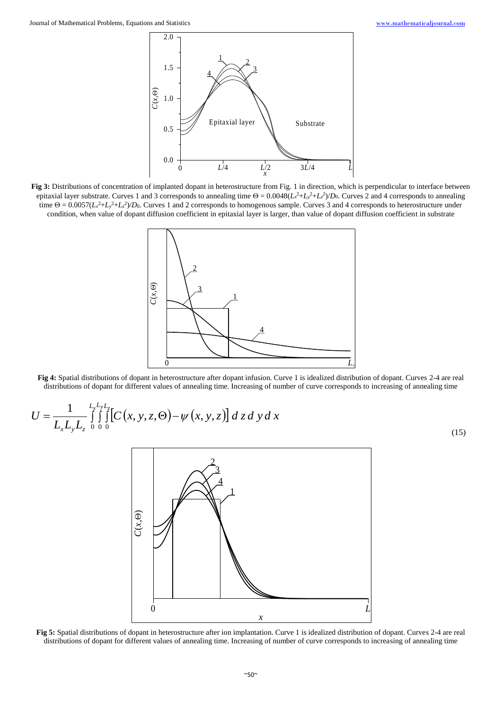

**Fig 3:** Distributions of concentration of implanted dopant in heterostructure from Fig. 1 in direction, which is perpendicular to interface between epitaxial layer substrate. Curves 1 and 3 corresponds to annealing time  $\Theta = 0.0048(L_x^2 + L_y^2 + L_z^2)/D_0$ . Curves 2 and 4 corresponds to annealing time  $\Theta = 0.0057(L_x^2 + L_y^2 + L_z^2)/D_0$ . Curves 1 and 2 corresponds to homogenous sample. Curves 3 and 4 corresponds to heterostructure under condition, when value of dopant diffusion coefficient in epitaxial layer is larger, than value of dopant diffusion coefficient in substrate



**Fig 4:** Spatial distributions of dopant in heterostructure after dopant infusion. Curve 1 is idealized distribution of dopant. Curves 2-4 are real distributions of dopant for different values of annealing time. Increasing of number of curve corresponds to increasing of annealing time

$$
U = \frac{1}{L_x L_y L_z} \int_{0}^{L_x L_y L_z} \int_{0}^{L_x L_y L_z} \left[ C(x, y, z, \Theta) - \psi(x, y, z) \right] dz dy dx
$$
\n(15)



**Fig 5:** Spatial distributions of dopant in heterostructure after ion implantation. Curve 1 is idealized distribution of dopant. Curves 2-4 are real distributions of dopant for different values of annealing time. Increasing of number of curve corresponds to increasing of annealing time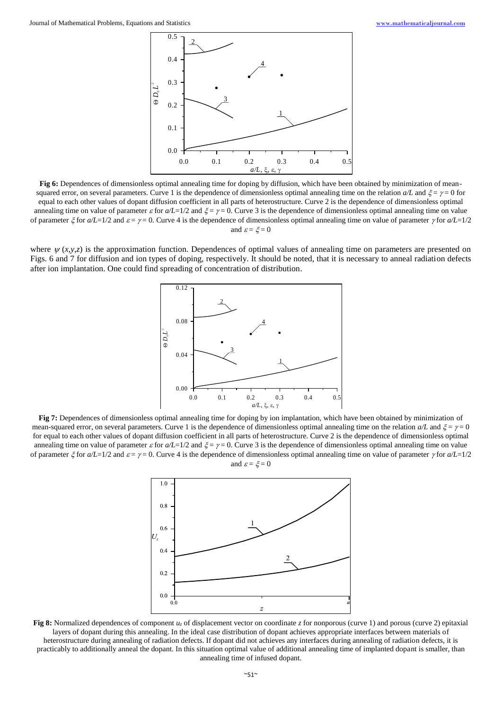

**Fig 6:** Dependences of dimensionless optimal annealing time for doping by diffusion, which have been obtained by minimization of meansquared error, on several parameters. Curve 1 is the dependence of dimensionless optimal annealing time on the relation  $a/L$  and  $\xi = \gamma = 0$  for equal to each other values of dopant diffusion coefficient in all parts of heterostructure. Curve 2 is the dependence of dimensionless optimal annealing time on value of parameter  $\varepsilon$  for  $a/L=1/2$  and  $\xi = \gamma = 0$ . Curve 3 is the dependence of dimensionless optimal annealing time on value of parameter  $\zeta$  for  $a/L=1/2$  and  $\varepsilon = \gamma = 0$ . Curve 4 is the dependence of dimensionless optimal annealing time on value of parameter  $\gamma$  for  $a/L=1/2$ and  $\varepsilon = \xi = 0$ 

where  $\psi(x, y, z)$  is the approximation function. Dependences of optimal values of annealing time on parameters are presented on Figs. 6 and 7 for diffusion and ion types of doping, respectively. It should be noted, that it is necessary to anneal radiation defects after ion implantation. One could find spreading of concentration of distribution.



**Fig 7:** Dependences of dimensionless optimal annealing time for doping by ion implantation, which have been obtained by minimization of mean-squared error, on several parameters. Curve 1 is the dependence of dimensionless optimal annealing time on the relation  $a/L$  and  $\xi = \gamma = 0$ for equal to each other values of dopant diffusion coefficient in all parts of heterostructure. Curve 2 is the dependence of dimensionless optimal annealing time on value of parameter  $\varepsilon$  for  $a/L=1/2$  and  $\xi = \gamma = 0$ . Curve 3 is the dependence of dimensionless optimal annealing time on value of parameter  $\xi$  for  $a/L=1/2$  and  $\varepsilon = \gamma = 0$ . Curve 4 is the dependence of dimensionless optimal annealing time on value of parameter  $\gamma$  for  $a/L=1/2$ and  $\varepsilon = \xi = 0$ 



**Fig 8:** Normalized dependences of component  $u_z$  of displacement vector on coordinate *z* for nonporous (curve 1) and porous (curve 2) epitaxial layers of dopant during this annealing. In the ideal case distribution of dopant achieves appropriate interfaces between materials of heterostructure during annealing of radiation defects. If dopant did not achieves any interfaces during annealing of radiation defects, it is practicably to additionally anneal the dopant. In this situation optimal value of additional annealing time of implanted dopant is smaller, than annealing time of infused dopant.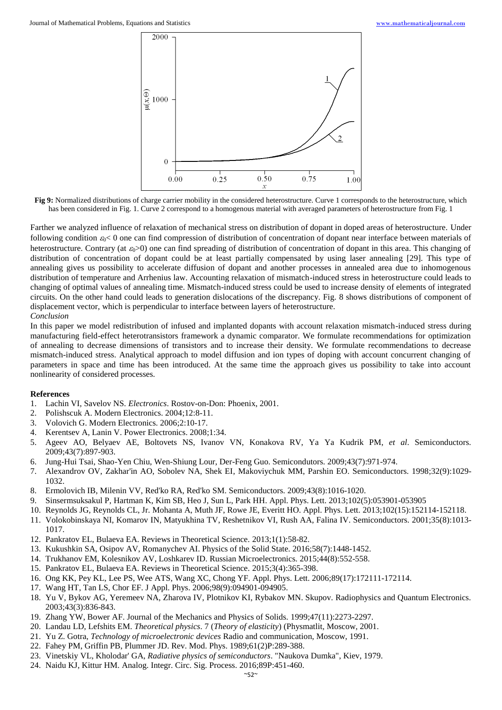

**Fig 9:** Normalized distributions of charge carrier mobility in the considered heterostructure. Curve 1 corresponds to the heterostructure, which has been considered in Fig. 1. Curve 2 correspond to a homogenous material with averaged parameters of heterostructure from Fig. 1

Farther we analyzed influence of relaxation of mechanical stress on distribution of dopant in doped areas of heterostructure. Under following condition  $\epsilon_0$  one can find compression of distribution of concentration of dopant near interface between materials of heterostructure. Contrary (at  $\epsilon_0 > 0$ ) one can find spreading of distribution of concentration of dopant in this area. This changing of distribution of concentration of dopant could be at least partially compensated by using laser annealing [29]. This type of annealing gives us possibility to accelerate diffusion of dopant and another processes in annealed area due to inhomogenous distribution of temperature and Arrhenius law. Accounting relaxation of mismatch-induced stress in heterostructure could leads to changing of optimal values of annealing time. Mismatch-induced stress could be used to increase density of elements of integrated circuits. On the other hand could leads to generation dislocations of the discrepancy. Fig. 8 shows distributions of component of displacement vector, which is perpendicular to interface between layers of heterostructure.

### *Conclusion*

In this paper we model redistribution of infused and implanted dopants with account relaxation mismatch-induced stress during manufacturing field-effect heterotransistors framework a dynamic comparator. We formulate recommendations for optimization of annealing to decrease dimensions of transistors and to increase their density. We formulate recommendations to decrease mismatch-induced stress. Analytical approach to model diffusion and ion types of doping with account concurrent changing of parameters in space and time has been introduced. At the same time the approach gives us possibility to take into account nonlinearity of considered processes.

### **References**

- 1. Lachin VI, Savelov NS. *Electronics*. Rostov-on-Don: Phoenix, 2001.
- 2. Polishscuk A. Modern Electronics. 2004;12:8-11.
- 3. Volovich G. Modern Electronics. 2006;2:10-17.
- 4. Kerentsev A, Lanin V. Power Electronics. 2008;1:34.
- 5. Ageev AO, Belyaev AE, Boltovets NS, Ivanov VN, Konakova RV, Ya Ya Kudrik PM, *et al*. Semiconductors. 2009;43(7):897-903.
- 6. Jung-Hui Tsai, Shao-Yen Chiu, Wen-Shiung Lour, Der-Feng Guo. Semicondutors. 2009;43(7):971-974.
- 7. Alexandrov OV, Zakhar'in AO, Sobolev NA, Shek EI, Makoviychuk MM, Parshin EO. Semiconductors. 1998;32(9):1029- 1032.
- 8. Ermolovich IB, Milenin VV, Red'ko RA, Red'ko SM. Semiconductors. 2009;43(8):1016-1020.
- 9. Sinsermsuksakul P, Hartman K, Kim SB, Heo J, Sun L, Park HH. Appl. Phys. Lett. 2013;102(5):053901-053905
- 10. Reynolds JG, Reynolds CL, Jr. Mohanta A, Muth JF, Rowe JE, Everitt HO. Appl. Phys. Lett. 2013;102(15):152114-152118.
- 11. Volokobinskaya NI, Komarov IN, Matyukhina TV, Reshetnikov VI, Rush AA, Falina IV. Semiconductors. 2001;35(8):1013- 1017.
- 12. Pankratov EL, Bulaeva EA. Reviews in Theoretical Science. 2013;1(1):58-82.
- 13. Kukushkin SA, Osipov AV, Romanychev AI. Physics of the Solid State. 2016;58(7):1448-1452.
- 14. Trukhanov EM, Kolesnikov AV, Loshkarev ID. Russian Microelectronics. 2015;44(8):552-558.
- 15. Pankratov EL, Bulaeva EA. Reviews in Theoretical Science. 2015;3(4):365-398.
- 16. Ong KK, Pey KL, Lee PS, Wee ATS, Wang XC, Chong YF. Appl. Phys. Lett. 2006;89(17):172111-172114.
- 17. Wang HT, Tan LS, Chor EF. J Appl. Phys. 2006;98(9):094901-094905.
- 18. Yu V, Bykov AG, Yeremeev NA, Zharova IV, Plotnikov KI, Rybakov MN. Skupov. Radiophysics and Quantum Electronics. 2003;43(3):836-843.
- 19. Zhang YW, Bower AF. Journal of the Mechanics and Physics of Solids. 1999;47(11):2273-2297.
- 20. Landau LD, Lefshits EM. *Theoretical physics*. 7 (*Theory of elasticity*) (Physmatlit, Moscow, 2001.
- 21. Yu Z. Gotra, *Technology of microelectronic devices* Radio and communication, Moscow, 1991.
- 22. Fahey PM, Griffin PB, Plummer JD. Rev. Mod. Phys. 1989;61(2)P:289-388.
- 23. Vinetskiy VL, Kholodar' GA, *Radiative physics of semiconductors*. "Naukova Dumka", Kiev, 1979.
- 24. Naidu KJ, Kittur HM. Analog. Integr. Circ. Sig. Process. 2016;89P:451-460.